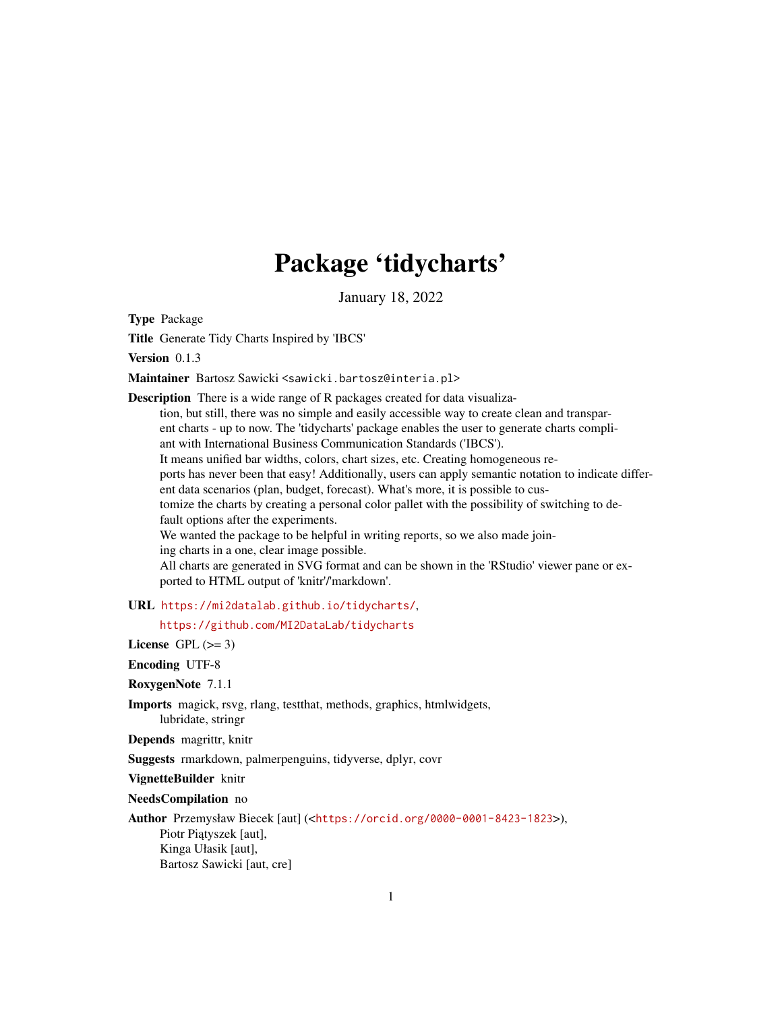# Package 'tidycharts'

January 18, 2022

Type Package

Title Generate Tidy Charts Inspired by 'IBCS'

Version 0.1.3

Maintainer Bartosz Sawicki <sawicki.bartosz@interia.pl>

Description There is a wide range of R packages created for data visualization, but still, there was no simple and easily accessible way to create clean and transparent charts - up to now. The 'tidycharts' package enables the user to generate charts compliant with International Business Communication Standards ('IBCS'). It means unified bar widths, colors, chart sizes, etc. Creating homogeneous reports has never been that easy! Additionally, users can apply semantic notation to indicate different data scenarios (plan, budget, forecast). What's more, it is possible to customize the charts by creating a personal color pallet with the possibility of switching to default options after the experiments. We wanted the package to be helpful in writing reports, so we also made joining charts in a one, clear image possible. All charts are generated in SVG format and can be shown in the 'RStudio' viewer pane or exported to HTML output of 'knitr'/'markdown'. URL <https://mi2datalab.github.io/tidycharts/>, <https://github.com/MI2DataLab/tidycharts> License GPL  $(>= 3)$ Encoding UTF-8 RoxygenNote 7.1.1

Imports magick, rsvg, rlang, testthat, methods, graphics, htmlwidgets, lubridate, stringr

Depends magrittr, knitr

Suggests rmarkdown, palmerpenguins, tidyverse, dplyr, covr

VignetteBuilder knitr

NeedsCompilation no

Author Przemysław Biecek [aut] (<<https://orcid.org/0000-0001-8423-1823>>), Piotr Piątyszek [aut], Kinga Ułasik [aut], Bartosz Sawicki [aut, cre]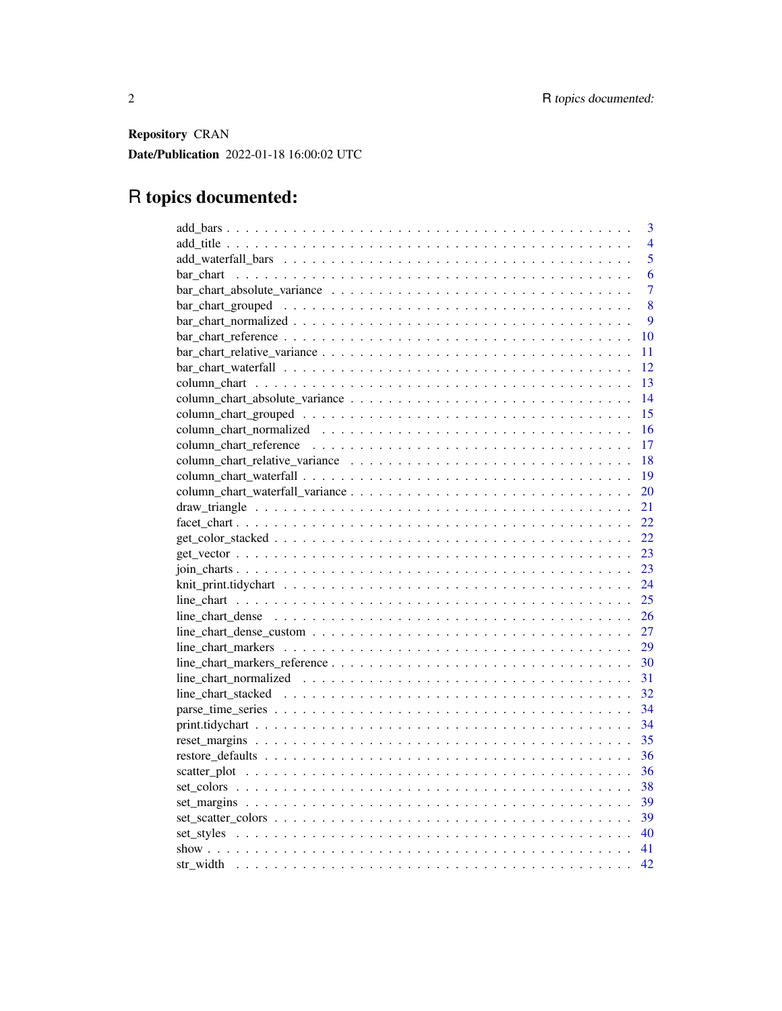Repository CRAN Date/Publication 2022-01-18 16:00:02 UTC

## R topics documented:

| 3                                                                                                                                                                           |
|-----------------------------------------------------------------------------------------------------------------------------------------------------------------------------|
| $\overline{4}$                                                                                                                                                              |
| 5                                                                                                                                                                           |
| 6                                                                                                                                                                           |
| 7                                                                                                                                                                           |
| 8                                                                                                                                                                           |
| $\overline{Q}$                                                                                                                                                              |
| 10                                                                                                                                                                          |
| 11                                                                                                                                                                          |
| 12                                                                                                                                                                          |
| 13                                                                                                                                                                          |
| 14                                                                                                                                                                          |
| 15                                                                                                                                                                          |
| 16                                                                                                                                                                          |
| 17                                                                                                                                                                          |
| 18                                                                                                                                                                          |
| 19                                                                                                                                                                          |
| 20                                                                                                                                                                          |
| 21                                                                                                                                                                          |
| 22                                                                                                                                                                          |
| 22                                                                                                                                                                          |
| 23                                                                                                                                                                          |
| 23                                                                                                                                                                          |
| 24                                                                                                                                                                          |
| 25                                                                                                                                                                          |
| 26                                                                                                                                                                          |
| 27                                                                                                                                                                          |
| $line_{\text{char}}$ $_{\text{chart\_max}$ $_{\text{ær}}$ $\ldots$ $\ldots$ $\ldots$ $\ldots$ $\ldots$ $\ldots$ $\ldots$ $\ldots$ $\ldots$ $\ldots$ $\ldots$ $\ldots$<br>29 |
| 30                                                                                                                                                                          |
| 31                                                                                                                                                                          |
| 32                                                                                                                                                                          |
| 34                                                                                                                                                                          |
| 34                                                                                                                                                                          |
| 35<br>$reset_margins \dots \dots \dots \dots \dots \dots \dots \dots \dots \dots \dots \dots \dots \dots \dots \dots \dots$                                                 |
| 36                                                                                                                                                                          |
| 36                                                                                                                                                                          |
| 38                                                                                                                                                                          |
| 39                                                                                                                                                                          |
| 39                                                                                                                                                                          |
| 40                                                                                                                                                                          |
|                                                                                                                                                                             |
| 42                                                                                                                                                                          |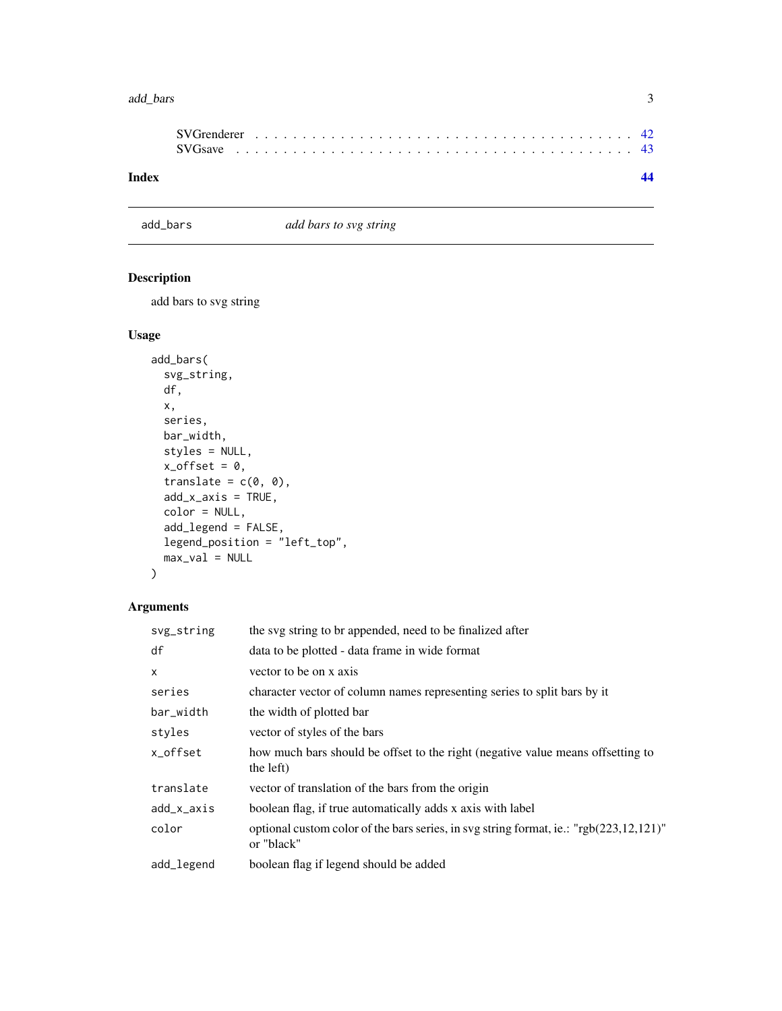#### <span id="page-2-0"></span>add\_bars 3

| Index |  |  |  |  |  |  |  |  |  |  |  |  |  |  |  |  |  |  |
|-------|--|--|--|--|--|--|--|--|--|--|--|--|--|--|--|--|--|--|

add\_bars *add bars to svg string*

## Description

add bars to svg string

## Usage

```
add_bars(
  svg_string,
  df,
  x,
  series,
  bar_width,
  styles = NULL,
  x_{\text{-}}offset = 0,
  translate = c(\emptyset, \emptyset),
  add_x_axis = TRUE,
  color = NULL,
  add_legend = FALSE,
  legend_position = "left_top",
  max_val = NULL)
```

| the svg string to br appended, need to be finalized after                                                |
|----------------------------------------------------------------------------------------------------------|
| data to be plotted - data frame in wide format                                                           |
| vector to be on x axis                                                                                   |
| character vector of column names representing series to split bars by it                                 |
| the width of plotted bar                                                                                 |
| vector of styles of the bars                                                                             |
| how much bars should be offset to the right (negative value means offsetting to<br>the left)             |
| vector of translation of the bars from the origin                                                        |
| boolean flag, if true automatically adds x axis with label                                               |
| optional custom color of the bars series, in svg string format, ie.: "rgb $(223,12,121)$ "<br>or "black" |
| boolean flag if legend should be added                                                                   |
|                                                                                                          |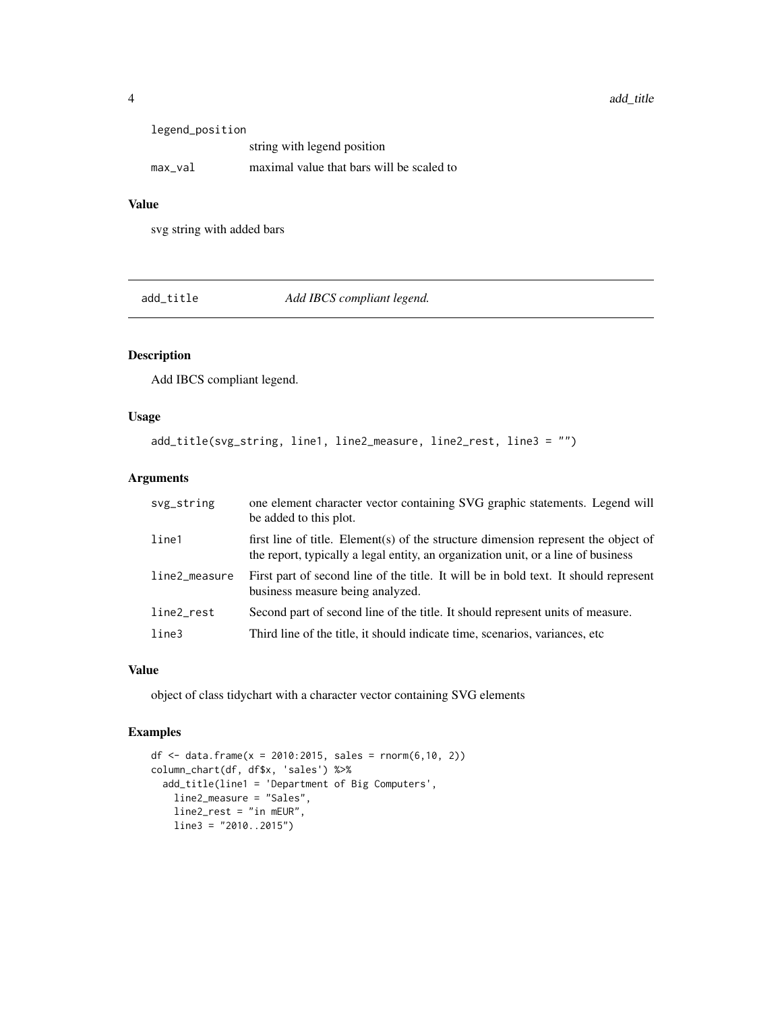<span id="page-3-0"></span>

| legend_position |                                           |
|-----------------|-------------------------------------------|
|                 | string with legend position               |
| max val         | maximal value that bars will be scaled to |

svg string with added bars

add\_title *Add IBCS compliant legend.*

## Description

Add IBCS compliant legend.

## Usage

```
add_title(svg_string, line1, line2_measure, line2_rest, line3 = "")
```
#### Arguments

| svg_string    | one element character vector containing SVG graphic statements. Legend will<br>be added to this plot.                                                                   |
|---------------|-------------------------------------------------------------------------------------------------------------------------------------------------------------------------|
| line1         | first line of title. Element(s) of the structure dimension represent the object of<br>the report, typically a legal entity, an organization unit, or a line of business |
| line2_measure | First part of second line of the title. It will be in bold text. It should represent<br>business measure being analyzed.                                                |
| line2_rest    | Second part of second line of the title. It should represent units of measure.                                                                                          |
| line3         | Third line of the title, it should indicate time, scenarios, variances, etc                                                                                             |

#### Value

object of class tidychart with a character vector containing SVG elements

```
df <- data.frame(x = 2010:2015, sales = rnorm(6, 10, 2))
column_chart(df, df$x, 'sales') %>%
  add_title(line1 = 'Department of Big Computers',
   line2_measure = "Sales",
   line2_rest = "in mEUR",
   line3 = "2010..2015")
```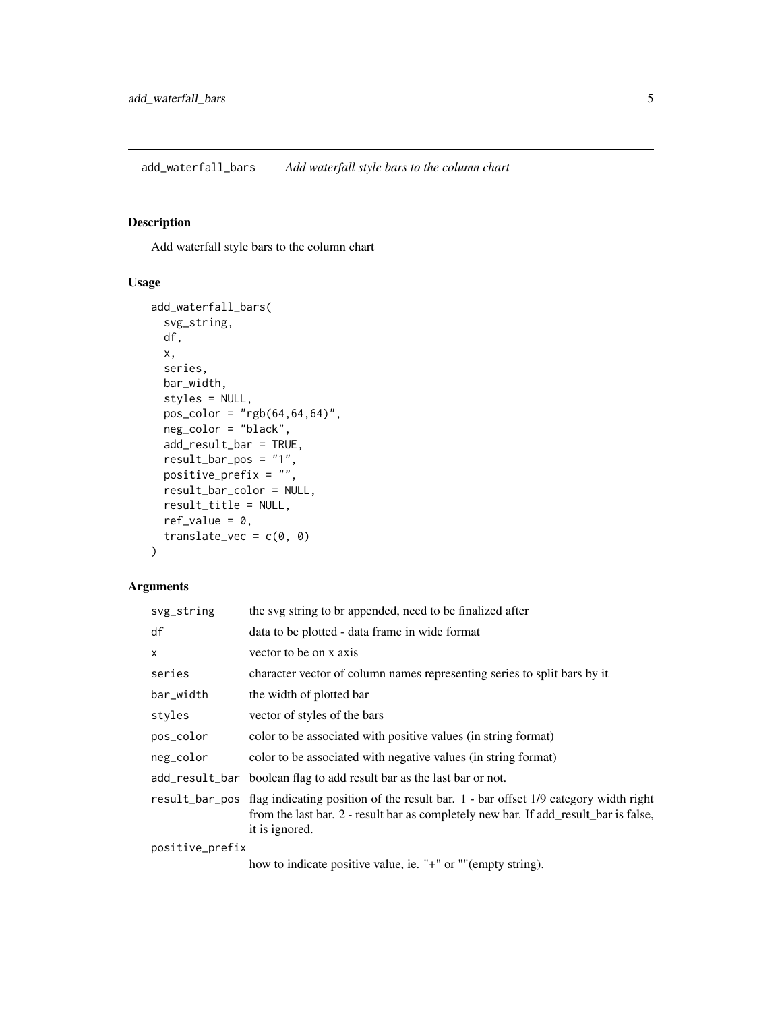<span id="page-4-0"></span>add\_waterfall\_bars *Add waterfall style bars to the column chart*

## Description

Add waterfall style bars to the column chart

## Usage

```
add_waterfall_bars(
  svg_string,
 df,
  x,
  series,
  bar_width,
  styles = NULL,
 pos\_color = "rgb(64, 64, 64)",
 neg_color = "black",
  add_result_bar = TRUE,
  result_bar_pos = "1",
  positive_prefix = "",
  result_bar_color = NULL,
  result_title = NULL,
  ref_value = 0,translate_vec = c(\emptyset, \emptyset))
```
## Arguments

| svg_string      | the svg string to br appended, need to be finalized after                                                                                                                                                    |
|-----------------|--------------------------------------------------------------------------------------------------------------------------------------------------------------------------------------------------------------|
| df              | data to be plotted - data frame in wide format                                                                                                                                                               |
| $\mathsf{x}$    | vector to be on x axis                                                                                                                                                                                       |
| series          | character vector of column names representing series to split bars by it                                                                                                                                     |
| bar_width       | the width of plotted bar                                                                                                                                                                                     |
| styles          | vector of styles of the bars                                                                                                                                                                                 |
| pos_color       | color to be associated with positive values (in string format)                                                                                                                                               |
| neg_color       | color to be associated with negative values (in string format)                                                                                                                                               |
|                 | add_result_bar boolean flag to add result bar as the last bar or not.                                                                                                                                        |
|                 | result_bar_pos flag indicating position of the result bar. 1 - bar offset 1/9 category width right<br>from the last bar. 2 - result bar as completely new bar. If add_result_bar is false,<br>it is ignored. |
| positive_prefix |                                                                                                                                                                                                              |

how to indicate positive value, ie. "+" or ""(empty string).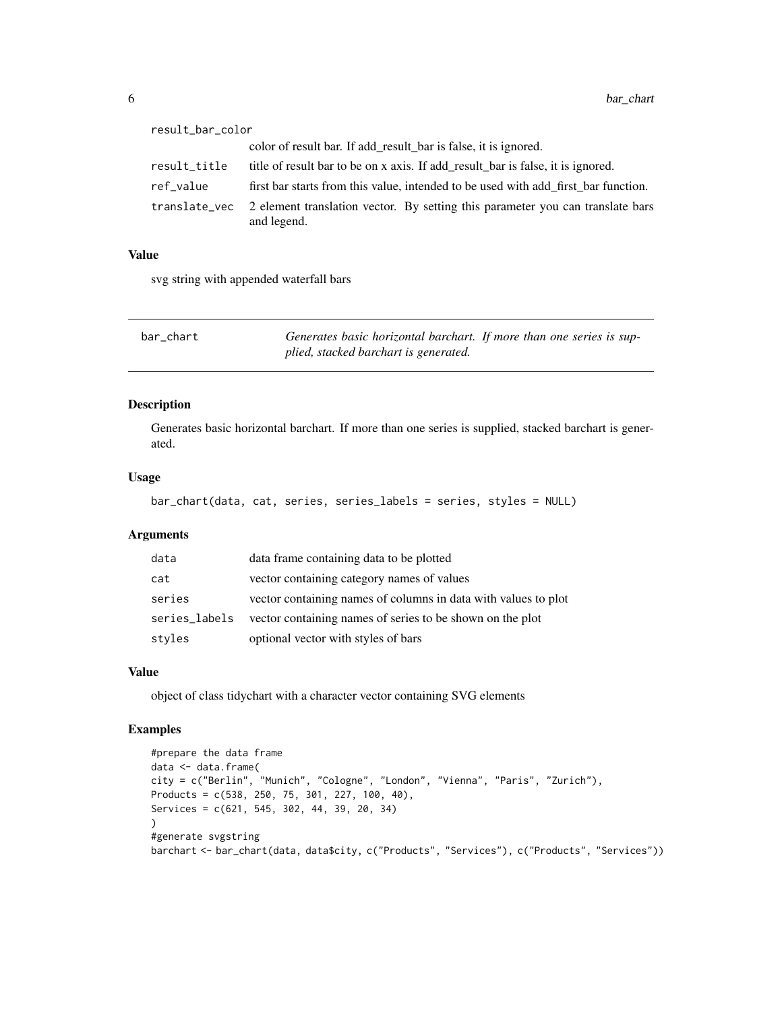<span id="page-5-0"></span>

| result_bar_color |                                                                                               |
|------------------|-----------------------------------------------------------------------------------------------|
|                  | color of result bar. If add_result_bar is false, it is ignored.                               |
| result_title     | title of result bar to be on x axis. If add_result_bar is false, it is ignored.               |
| ref_value        | first bar starts from this value, intended to be used with add first bar function.            |
| translate_vec    | 2 element translation vector. By setting this parameter you can translate bars<br>and legend. |

svg string with appended waterfall bars

| bar chart | Generates basic horizontal barchart. If more than one series is sup- |  |  |
|-----------|----------------------------------------------------------------------|--|--|
|           | plied, stacked barchart is generated.                                |  |  |

#### Description

Generates basic horizontal barchart. If more than one series is supplied, stacked barchart is generated.

#### Usage

```
bar_chart(data, cat, series, series_labels = series, styles = NULL)
```
## Arguments

| data          | data frame containing data to be plotted                       |
|---------------|----------------------------------------------------------------|
| cat           | vector containing category names of values                     |
| series        | vector containing names of columns in data with values to plot |
| series_labels | vector containing names of series to be shown on the plot      |
| styles        | optional vector with styles of bars                            |

## Value

object of class tidychart with a character vector containing SVG elements

```
#prepare the data frame
data <- data.frame(
city = c("Berlin", "Munich", "Cologne", "London", "Vienna", "Paris", "Zurich"),
Products = c(538, 250, 75, 301, 227, 100, 40),
Services = c(621, 545, 302, 44, 39, 20, 34)
\lambda#generate svgstring
barchart <- bar_chart(data, data$city, c("Products", "Services"), c("Products", "Services"))
```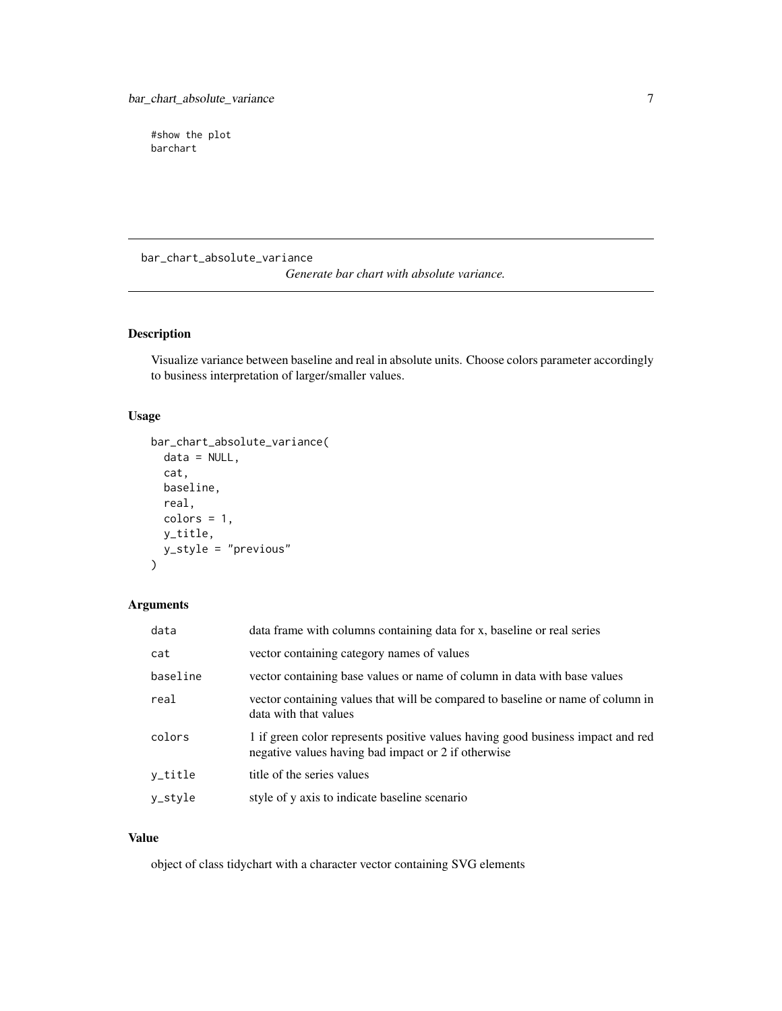<span id="page-6-0"></span>#show the plot barchart

bar\_chart\_absolute\_variance

*Generate bar chart with absolute variance.*

## Description

Visualize variance between baseline and real in absolute units. Choose colors parameter accordingly to business interpretation of larger/smaller values.

## Usage

```
bar_chart_absolute_variance(
  data = NULL,
  cat,
  baseline,
  real,
  colors = 1,
  y_title,
  y_style = "previous"
\mathcal{L}
```
## Arguments

| data     | data frame with columns containing data for x, baseline or real series                                                                 |
|----------|----------------------------------------------------------------------------------------------------------------------------------------|
| cat      | vector containing category names of values                                                                                             |
| baseline | vector containing base values or name of column in data with base values                                                               |
| real     | vector containing values that will be compared to baseline or name of column in<br>data with that values                               |
| colors   | 1 if green color represents positive values having good business impact and red<br>negative values having bad impact or 2 if otherwise |
| y_title  | title of the series values                                                                                                             |
| y_style  | style of y axis to indicate baseline scenario                                                                                          |

#### Value

object of class tidychart with a character vector containing SVG elements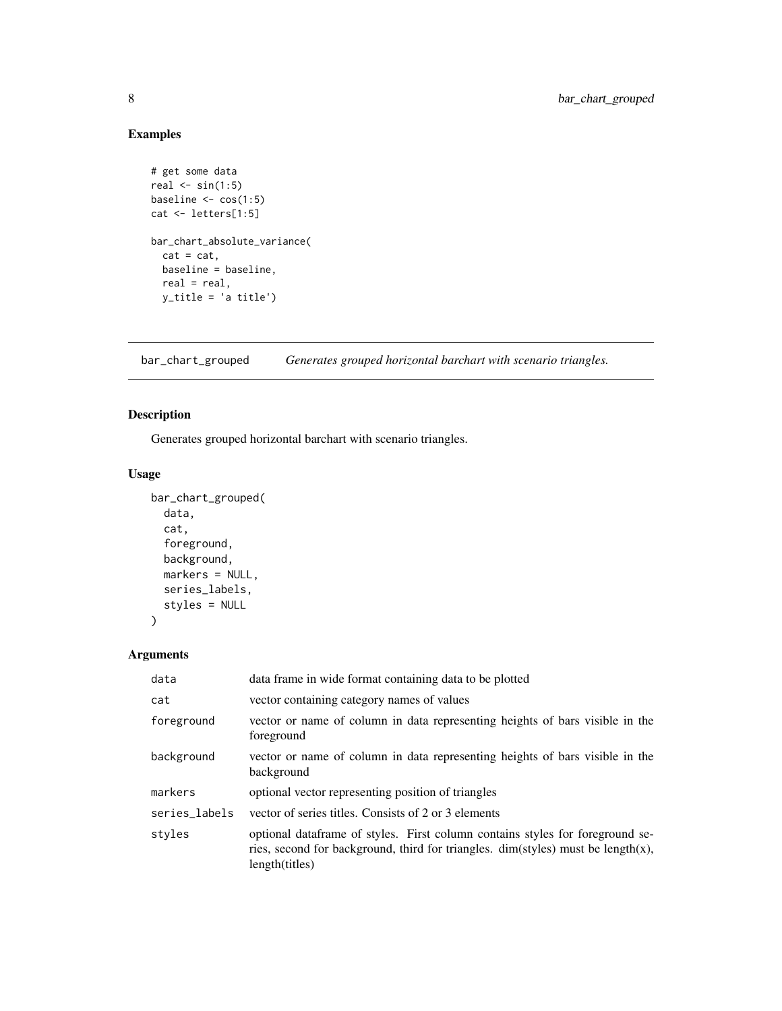## Examples

```
# get some data
real \le sin(1:5)
baseline <- cos(1:5)
cat <- letters[1:5]
bar_chart_absolute_variance(
  cat = cat,baseline = baseline,
  real = real,
  y_title = 'a title')
```
bar\_chart\_grouped *Generates grouped horizontal barchart with scenario triangles.*

## Description

Generates grouped horizontal barchart with scenario triangles.

#### Usage

```
bar_chart_grouped(
  data,
  cat,
  foreground,
  background,
  markers = NULL,
  series_labels,
  styles = NULL
\mathcal{L}
```

| data          | data frame in wide format containing data to be plotted                                                                                                                                    |
|---------------|--------------------------------------------------------------------------------------------------------------------------------------------------------------------------------------------|
| cat           | vector containing category names of values                                                                                                                                                 |
| foreground    | vector or name of column in data representing heights of bars visible in the<br>foreground                                                                                                 |
| background    | vector or name of column in data representing heights of bars visible in the<br>background                                                                                                 |
| markers       | optional vector representing position of triangles                                                                                                                                         |
| series_labels | vector of series titles. Consists of 2 or 3 elements                                                                                                                                       |
| styles        | optional data frame of styles. First column contains styles for foreground se-<br>ries, second for background, third for triangles. $dim(styles)$ must be length $(x)$ ,<br>length(titles) |

<span id="page-7-0"></span>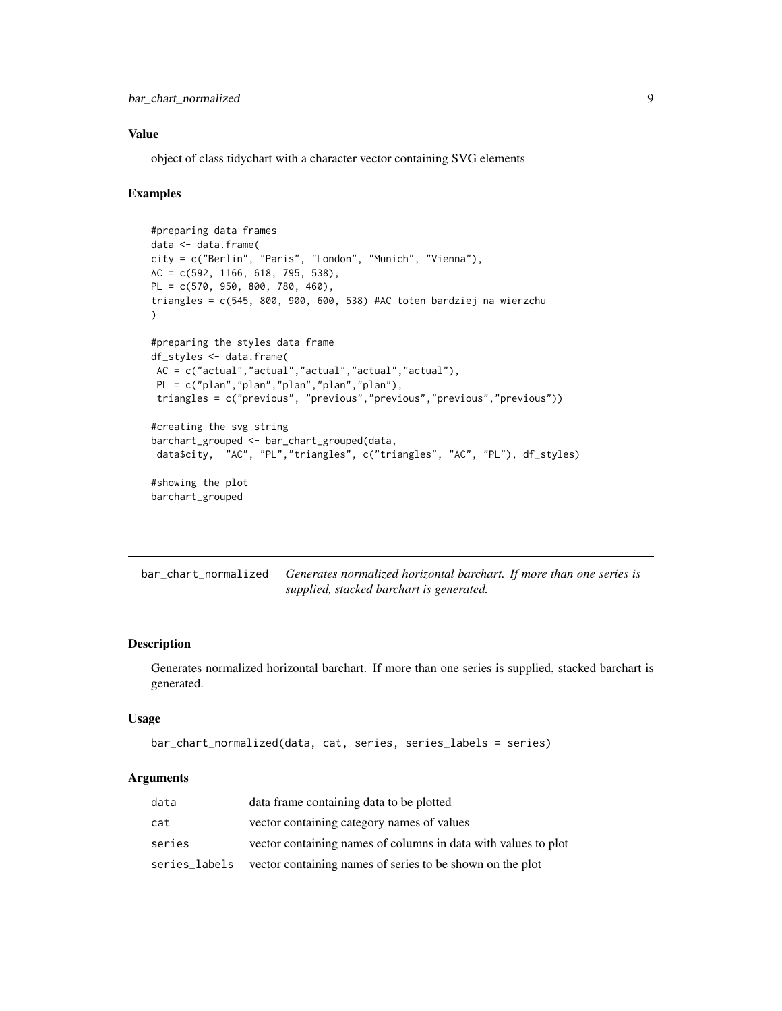<span id="page-8-0"></span>object of class tidychart with a character vector containing SVG elements

#### Examples

```
#preparing data frames
data <- data.frame(
city = c("Berlin", "Paris", "London", "Munich", "Vienna"),
AC = c(592, 1166, 618, 795, 538),
PL = c(570, 950, 800, 780, 460),
triangles = c(545, 800, 900, 600, 538) #AC toten bardziej na wierzchu
)
#preparing the styles data frame
df_styles <- data.frame(
 AC = c("actual","actual","actual","actual","actual"),
 PL = c("plan","plan","plan","plan","plan"),
 triangles = c("previous", "previous","previous","previous","previous"))
#creating the svg string
barchart_grouped <- bar_chart_grouped(data,
data$city, "AC", "PL","triangles", c("triangles", "AC", "PL"), df_styles)
#showing the plot
barchart_grouped
```
bar\_chart\_normalized *Generates normalized horizontal barchart. If more than one series is supplied, stacked barchart is generated.*

#### Description

Generates normalized horizontal barchart. If more than one series is supplied, stacked barchart is generated.

#### Usage

```
bar_chart_normalized(data, cat, series, series_labels = series)
```

| data   | data frame containing data to be plotted                                |
|--------|-------------------------------------------------------------------------|
| cat    | vector containing category names of values                              |
| series | vector containing names of columns in data with values to plot          |
|        | series_labels vector containing names of series to be shown on the plot |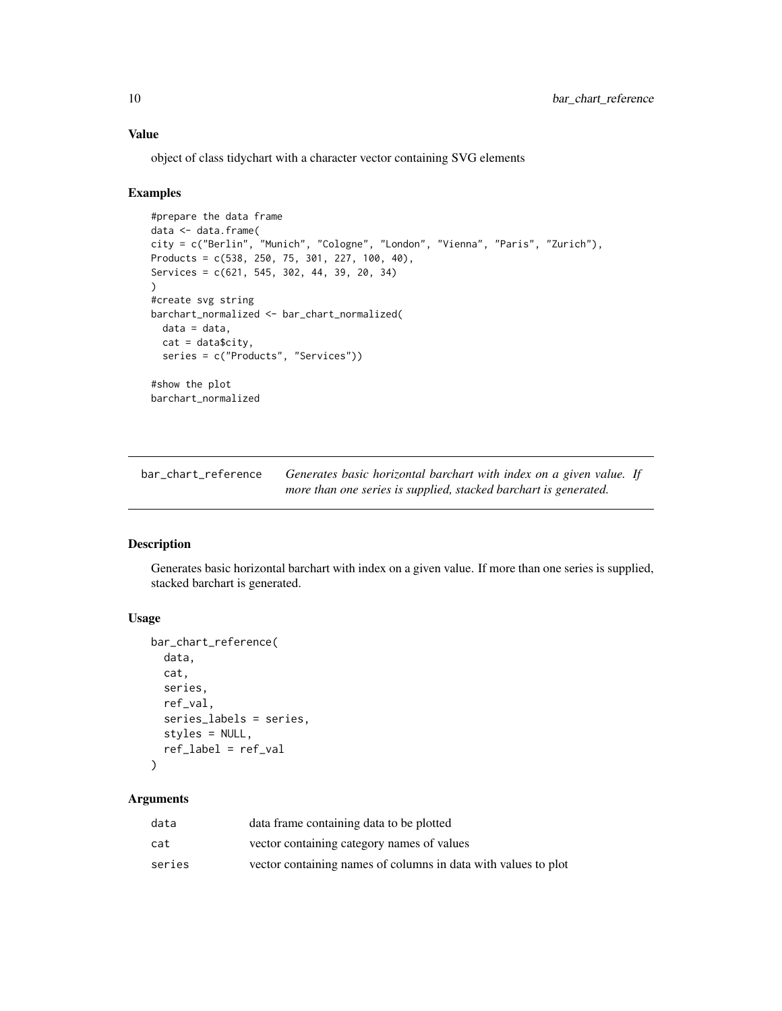object of class tidychart with a character vector containing SVG elements

#### Examples

```
#prepare the data frame
data <- data.frame(
city = c("Berlin", "Munich", "Cologne", "London", "Vienna", "Paris", "Zurich"),
Products = c(538, 250, 75, 301, 227, 100, 40),
Services = c(621, 545, 302, 44, 39, 20, 34)
)
#create svg string
barchart_normalized <- bar_chart_normalized(
  data = data,
  cat = data$city,
  series = c("Products", "Services"))
#show the plot
barchart_normalized
```
bar\_chart\_reference *Generates basic horizontal barchart with index on a given value. If more than one series is supplied, stacked barchart is generated.*

#### Description

Generates basic horizontal barchart with index on a given value. If more than one series is supplied, stacked barchart is generated.

## Usage

```
bar_chart_reference(
  data,
  cat,
  series,
  ref_val,
  series_labels = series,
  styles = NULL,
  ref_label = ref_val
)
```

| data   | data frame containing data to be plotted                       |
|--------|----------------------------------------------------------------|
| cat    | vector containing category names of values                     |
| series | vector containing names of columns in data with values to plot |

<span id="page-9-0"></span>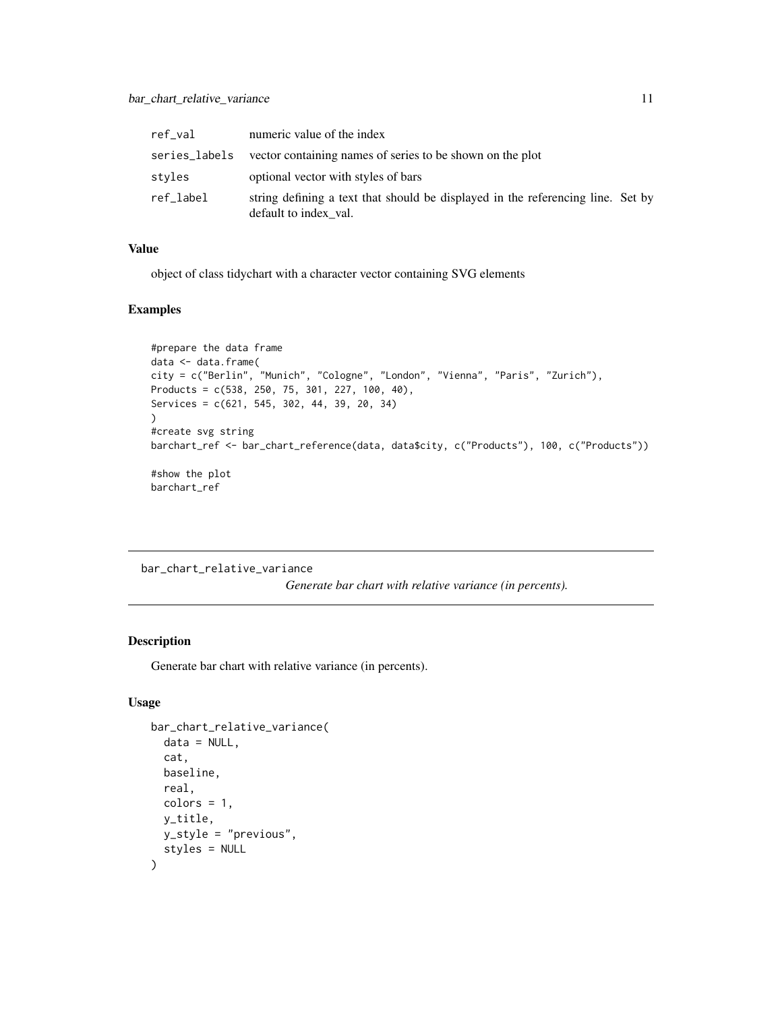<span id="page-10-0"></span>

| ref val       | numeric value of the index                                                                               |
|---------------|----------------------------------------------------------------------------------------------------------|
| series_labels | vector containing names of series to be shown on the plot                                                |
| styles        | optional vector with styles of bars                                                                      |
| ref_label     | string defining a text that should be displayed in the referencing line. Set by<br>default to index val. |

object of class tidychart with a character vector containing SVG elements

## Examples

```
#prepare the data frame
data <- data.frame(
city = c("Berlin", "Munich", "Cologne", "London", "Vienna", "Paris", "Zurich"),
Products = c(538, 250, 75, 301, 227, 100, 40),
Services = c(621, 545, 302, 44, 39, 20, 34)
)
#create svg string
barchart_ref <- bar_chart_reference(data, data$city, c("Products"), 100, c("Products"))
#show the plot
barchart_ref
```
bar\_chart\_relative\_variance

*Generate bar chart with relative variance (in percents).*

## Description

Generate bar chart with relative variance (in percents).

```
bar_chart_relative_variance(
  data = NULL,
  cat,
 baseline,
  real,
 colors = 1,
 y_title,
 y_style = "previous",
  styles = NULL
)
```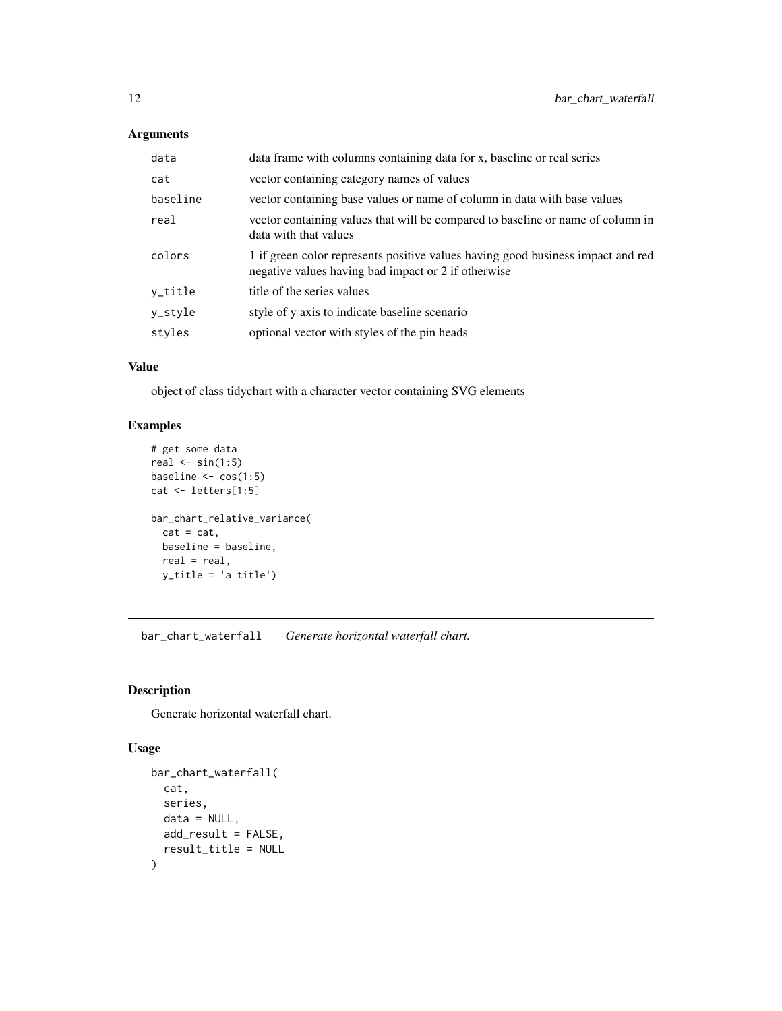| data     | data frame with columns containing data for x, baseline or real series                                                                 |
|----------|----------------------------------------------------------------------------------------------------------------------------------------|
| cat      | vector containing category names of values                                                                                             |
| baseline | vector containing base values or name of column in data with base values                                                               |
| real     | vector containing values that will be compared to baseline or name of column in<br>data with that values                               |
| colors   | 1 if green color represents positive values having good business impact and red<br>negative values having bad impact or 2 if otherwise |
| y_title  | title of the series values                                                                                                             |
| y_style  | style of y axis to indicate baseline scenario                                                                                          |
| styles   | optional vector with styles of the pin heads                                                                                           |

## Value

object of class tidychart with a character vector containing SVG elements

## Examples

```
# get some data
real \le sin(1:5)
baseline <- cos(1:5)
cat <- letters[1:5]
bar_chart_relative_variance(
  cat = cat,baseline = baseline,
  real = real,
  y_title = 'a title')
```
bar\_chart\_waterfall *Generate horizontal waterfall chart.*

## Description

Generate horizontal waterfall chart.

```
bar_chart_waterfall(
  cat,
  series,
  data = NULL,
  add_result = FALSE,
  result_title = NULL
\mathcal{L}
```
<span id="page-11-0"></span>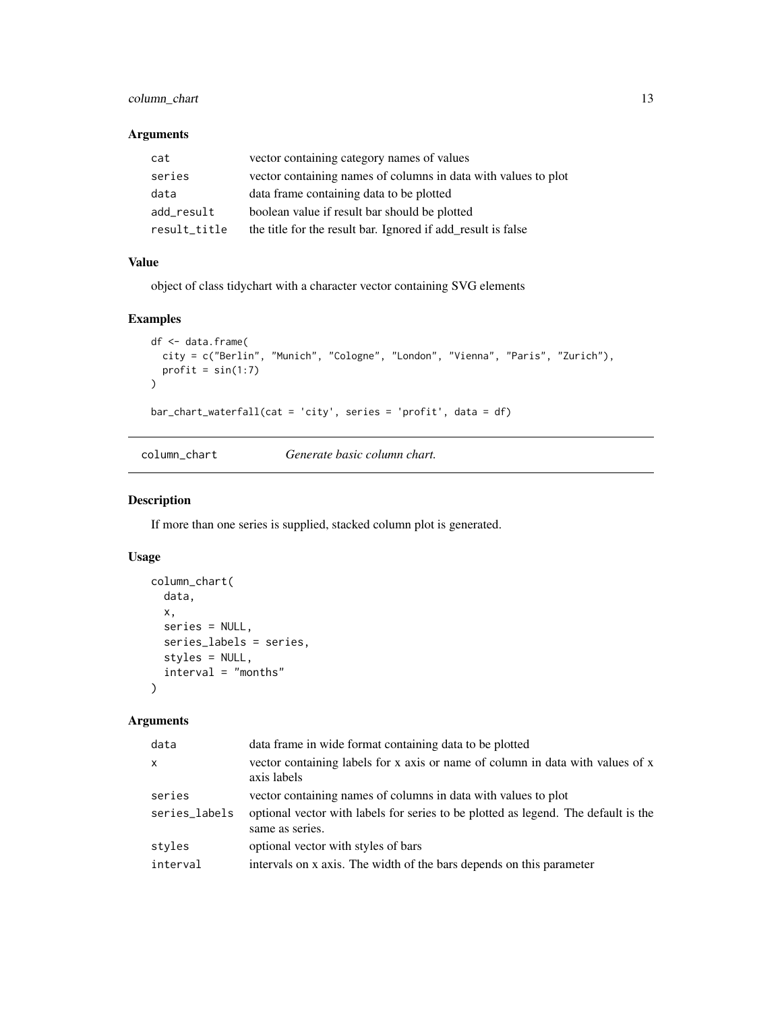## <span id="page-12-0"></span>column\_chart 13

#### Arguments

| cat          | vector containing category names of values                     |
|--------------|----------------------------------------------------------------|
| series       | vector containing names of columns in data with values to plot |
| data         | data frame containing data to be plotted                       |
| add result   | boolean value if result bar should be plotted                  |
| result_title | the title for the result bar. Ignored if add result is false   |

## Value

object of class tidychart with a character vector containing SVG elements

#### Examples

```
df <- data.frame(
  city = c("Berlin", "Munich", "Cologne", "London", "Vienna", "Paris", "Zurich"),
  profit = sin(1:7)\mathcal{L}bar_chart_waterfall(cat = 'city', series = 'profit', data = df)
```
column\_chart *Generate basic column chart.*

#### Description

If more than one series is supplied, stacked column plot is generated.

#### Usage

```
column_chart(
  data,
  x,
  series = NULL,
  series_labels = series,
  styles = NULL,
  interval = "months"
)
```

| data frame in wide format containing data to be plotted                                               |
|-------------------------------------------------------------------------------------------------------|
| vector containing labels for x axis or name of column in data with values of x<br>axis labels         |
| vector containing names of columns in data with values to plot                                        |
| optional vector with labels for series to be plotted as legend. The default is the<br>same as series. |
| optional vector with styles of bars                                                                   |
| intervals on x axis. The width of the bars depends on this parameter                                  |
|                                                                                                       |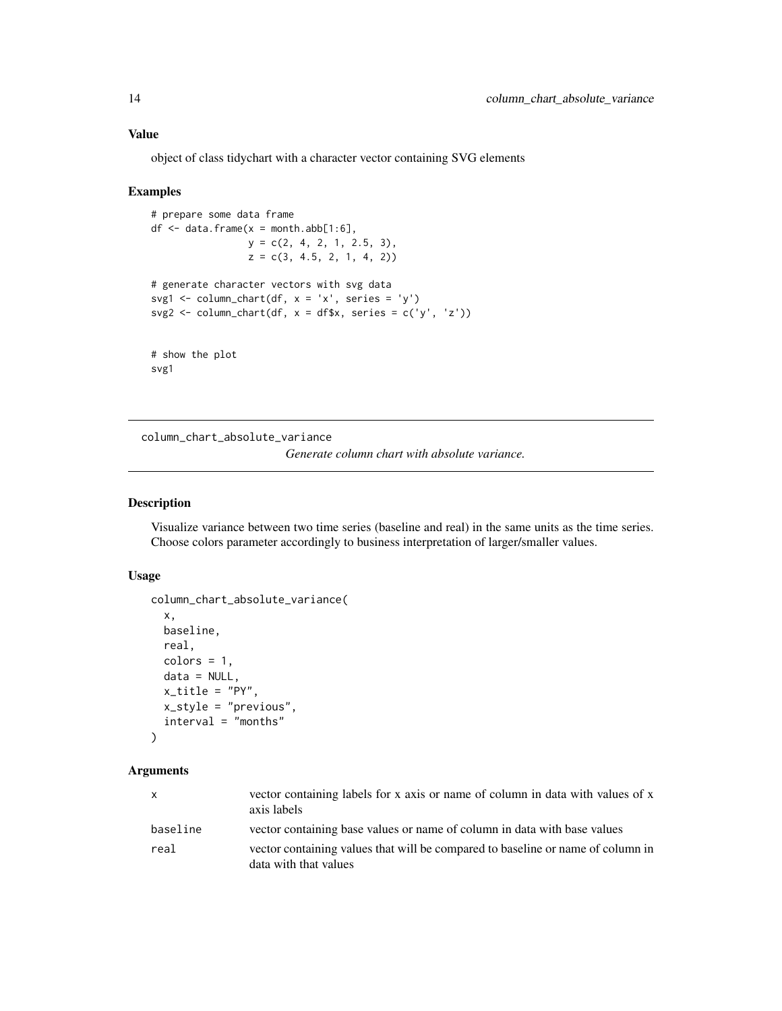<span id="page-13-0"></span>object of class tidychart with a character vector containing SVG elements

#### Examples

```
# prepare some data frame
df \leq data.frame(x = month.abb[1:6],
                 y = c(2, 4, 2, 1, 2.5, 3),
                 z = c(3, 4.5, 2, 1, 4, 2))# generate character vectors with svg data
svg1 <- column_chart(df, x = 'x', series = 'y')
svg2 <- column_chart(df, x = df$x, series = c('y', 'z'))
# show the plot
svg1
```
column\_chart\_absolute\_variance

```
Generate column chart with absolute variance.
```
#### Description

Visualize variance between two time series (baseline and real) in the same units as the time series. Choose colors parameter accordingly to business interpretation of larger/smaller values.

#### Usage

```
column_chart_absolute_variance(
  x,
 baseline,
  real,
  colors = 1,data = NULL,
  x_title = "PY",
  x_style = "previous",
  interval = "months"
)
```

| $\mathsf{X}$ | vector containing labels for x axis or name of column in data with values of x<br>axis labels            |
|--------------|----------------------------------------------------------------------------------------------------------|
| baseline     | vector containing base values or name of column in data with base values                                 |
| real         | vector containing values that will be compared to baseline or name of column in<br>data with that values |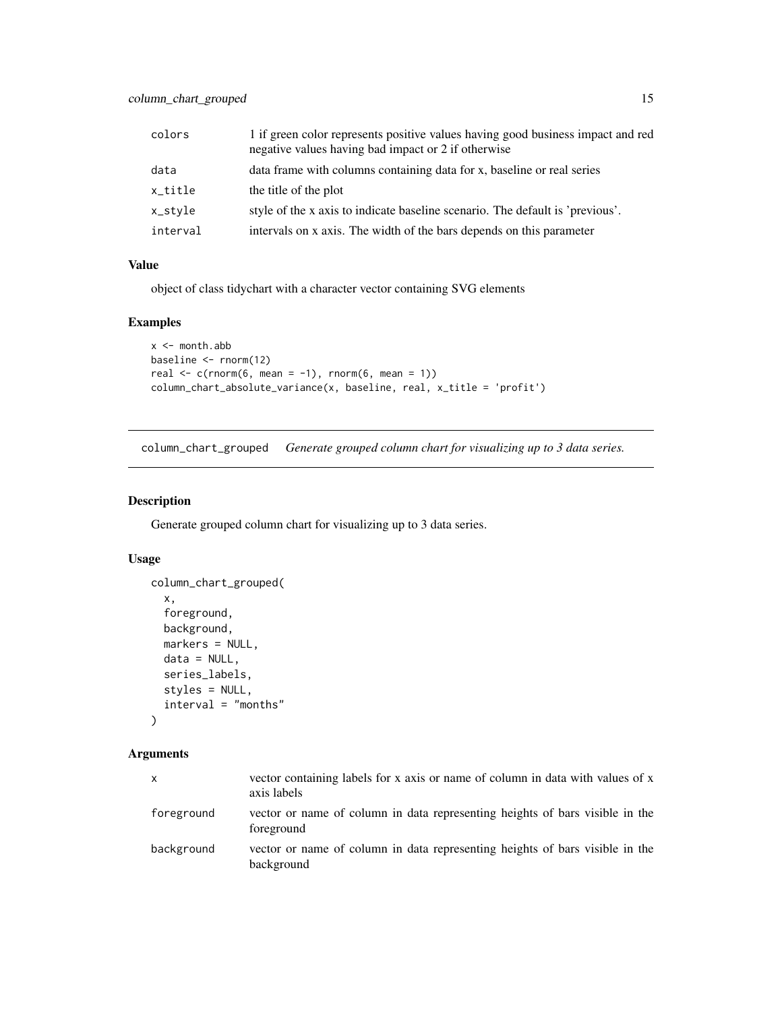<span id="page-14-0"></span>

| colors   | 1 if green color represents positive values having good business impact and red<br>negative values having bad impact or 2 if otherwise |
|----------|----------------------------------------------------------------------------------------------------------------------------------------|
| data     | data frame with columns containing data for x, baseline or real series                                                                 |
| x_title  | the title of the plot                                                                                                                  |
| x_style  | style of the x axis to indicate baseline scenario. The default is 'previous'.                                                          |
| interval | intervals on x axis. The width of the bars depends on this parameter                                                                   |

object of class tidychart with a character vector containing SVG elements

## Examples

```
x < - month.abb
baseline <- rnorm(12)
real \leq c(rnorm(6, mean = -1), rnorm(6, mean = 1))
column_chart_absolute_variance(x, baseline, real, x_title = 'profit')
```
column\_chart\_grouped *Generate grouped column chart for visualizing up to 3 data series.*

#### Description

Generate grouped column chart for visualizing up to 3 data series.

#### Usage

```
column_chart_grouped(
  x,
  foreground,
 background,
 markers = NULL,
 data = NULL,
  series_labels,
 styles = NULL,
  interval = "months"\mathcal{L}
```

| X          | vector containing labels for x axis or name of column in data with values of x<br>axis labels |
|------------|-----------------------------------------------------------------------------------------------|
| foreground | vector or name of column in data representing heights of bars visible in the<br>foreground    |
| background | vector or name of column in data representing heights of bars visible in the<br>background    |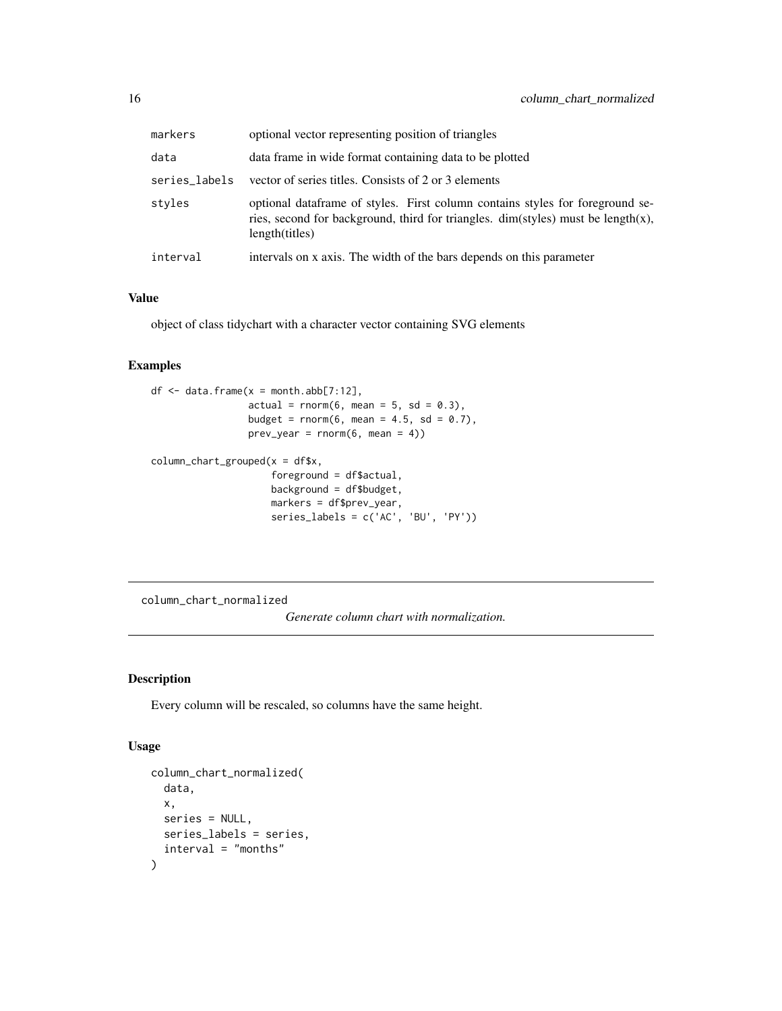<span id="page-15-0"></span>

| markers       | optional vector representing position of triangles                                                                                                                                         |
|---------------|--------------------------------------------------------------------------------------------------------------------------------------------------------------------------------------------|
| data          | data frame in wide format containing data to be plotted                                                                                                                                    |
| series_labels | vector of series titles. Consists of 2 or 3 elements                                                                                                                                       |
| styles        | optional data frame of styles. First column contains styles for foreground se-<br>ries, second for background, third for triangles. $dim(styles)$ must be length $(x)$ ,<br>length(titles) |
| interval      | intervals on x axis. The width of the bars depends on this parameter                                                                                                                       |

object of class tidychart with a character vector containing SVG elements

## Examples

```
df \leq data.frame(x = month.abb[7:12],
                 actual = rnorm(6, mean = 5, sd = 0.3),budget = rnorm(6, mean = 4.5, sd = 0.7),
                 prev\_year = rnorm(6, mean = 4)column_{chart\_grouped(x = df$x,
                     foreground = df$actual,
                     background = df$budget,
                     markers = df$prev_year,
                     series_labels = c('AC', 'BU', 'PY'))
```
column\_chart\_normalized

*Generate column chart with normalization.*

## Description

Every column will be rescaled, so columns have the same height.

```
column_chart_normalized(
  data,
  x,
  series = NULL,
  series_labels = series,
  interval = "months"
\mathcal{E}
```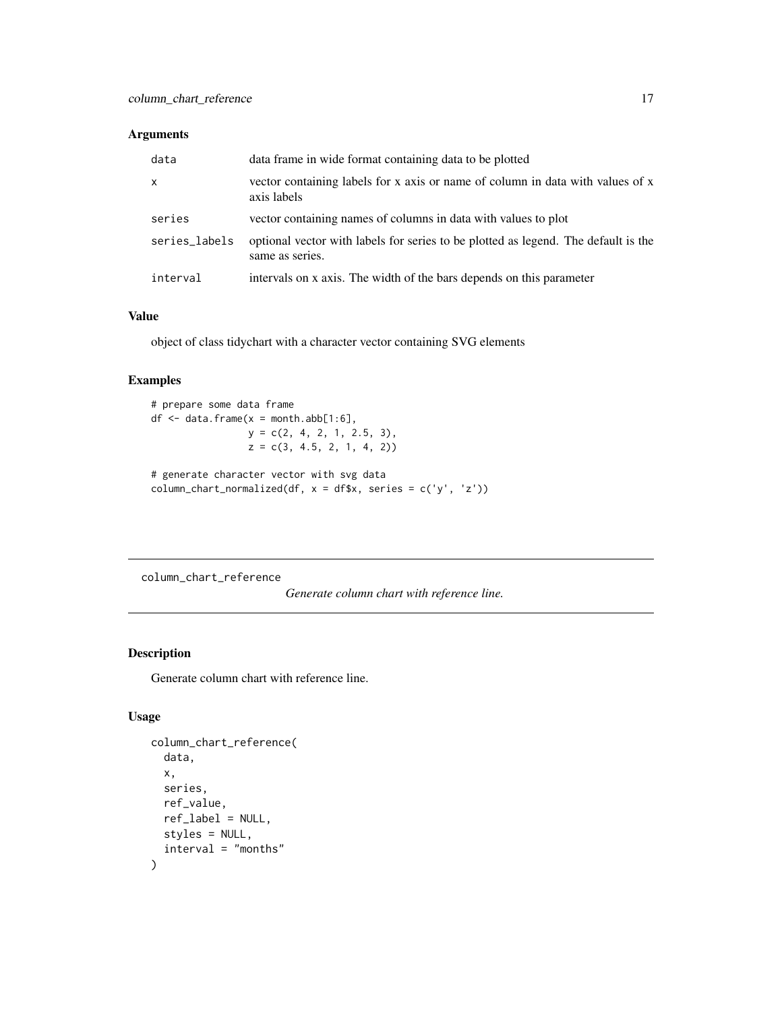<span id="page-16-0"></span>

| data          | data frame in wide format containing data to be plotted                                               |
|---------------|-------------------------------------------------------------------------------------------------------|
| X             | vector containing labels for x axis or name of column in data with values of x<br>axis labels         |
| series        | vector containing names of columns in data with values to plot                                        |
| series_labels | optional vector with labels for series to be plotted as legend. The default is the<br>same as series. |
| interval      | intervals on x axis. The width of the bars depends on this parameter                                  |

## Value

object of class tidychart with a character vector containing SVG elements

## Examples

```
# prepare some data frame
df \leq data.frame(x = month.abb[1:6],
                 y = c(2, 4, 2, 1, 2.5, 3),z = c(3, 4.5, 2, 1, 4, 2))# generate character vector with svg data
column_chart_normalized(df, x = df$x, series = c('y', 'z'))
```
column\_chart\_reference

*Generate column chart with reference line.*

## Description

Generate column chart with reference line.

```
column_chart_reference(
  data,
  x,
  series,
  ref_value,
  ref_label = NULL,
  styles = NULL,
  interval = "months"
\mathcal{E}
```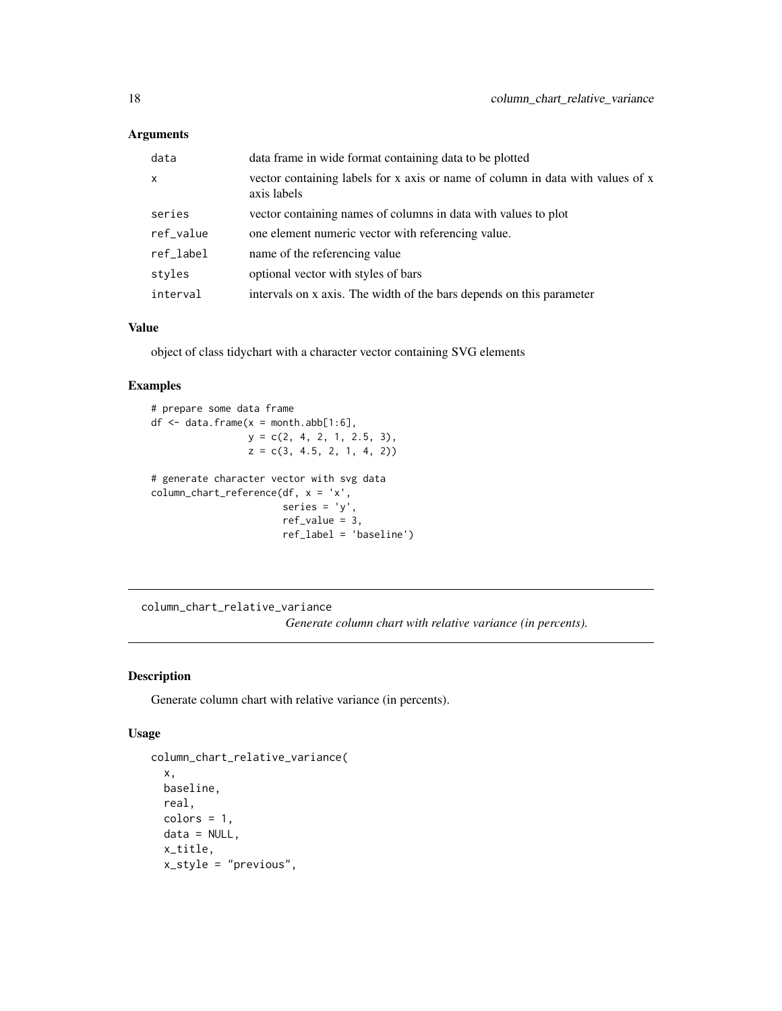<span id="page-17-0"></span>

| data      | data frame in wide format containing data to be plotted                                       |
|-----------|-----------------------------------------------------------------------------------------------|
| $\times$  | vector containing labels for x axis or name of column in data with values of x<br>axis labels |
| series    | vector containing names of columns in data with values to plot                                |
| ref_value | one element numeric vector with referencing value.                                            |
| ref_label | name of the referencing value                                                                 |
| styles    | optional vector with styles of bars                                                           |
| interval  | intervals on x axis. The width of the bars depends on this parameter                          |

#### Value

object of class tidychart with a character vector containing SVG elements

## Examples

```
# prepare some data frame
df \leq data.frame(x = month.abb[1:6],
                 y = c(2, 4, 2, 1, 2.5, 3),
                 z = c(3, 4.5, 2, 1, 4, 2))# generate character vector with svg data
column_chart_reference(df, x = 'x',
                       series = 'y',ref_value = 3,
                       ref_label = 'baseline')
```
column\_chart\_relative\_variance

*Generate column chart with relative variance (in percents).*

## Description

Generate column chart with relative variance (in percents).

```
column_chart_relative_variance(
  x,
 baseline,
  real,
  colors = 1,
 data = NULL,
  x_title,
  x_style = "previous",
```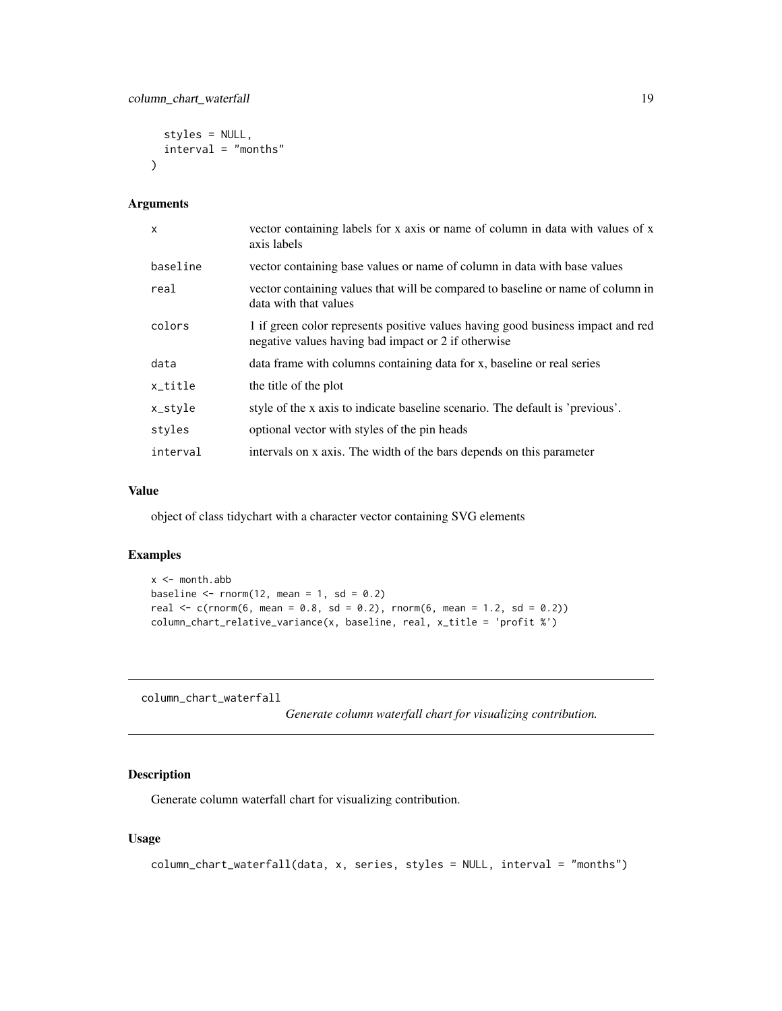```
styles = NULL,
  interval = "months"
\lambda
```

| $\mathsf{x}$ | vector containing labels for x axis or name of column in data with values of x<br>axis labels                                          |
|--------------|----------------------------------------------------------------------------------------------------------------------------------------|
| baseline     | vector containing base values or name of column in data with base values                                                               |
| real         | vector containing values that will be compared to baseline or name of column in<br>data with that values                               |
| colors       | 1 if green color represents positive values having good business impact and red<br>negative values having bad impact or 2 if otherwise |
| data         | data frame with columns containing data for x, baseline or real series                                                                 |
| x_title      | the title of the plot                                                                                                                  |
| x_style      | style of the x axis to indicate baseline scenario. The default is 'previous'.                                                          |
| styles       | optional vector with styles of the pin heads                                                                                           |
| interval     | intervals on x axis. The width of the bars depends on this parameter                                                                   |

### Value

object of class tidychart with a character vector containing SVG elements

#### Examples

```
x < - month.abb
baseline \le rnorm(12, mean = 1, sd = 0.2)
real \leq c(rnorm(6, mean = 0.8, sd = 0.2), rnorm(6, mean = 1.2, sd = 0.2))
column_chart_relative_variance(x, baseline, real, x_title = 'profit %')
```
column\_chart\_waterfall

*Generate column waterfall chart for visualizing contribution.*

## Description

Generate column waterfall chart for visualizing contribution.

```
column_chart_waterfall(data, x, series, styles = NULL, interval = "months")
```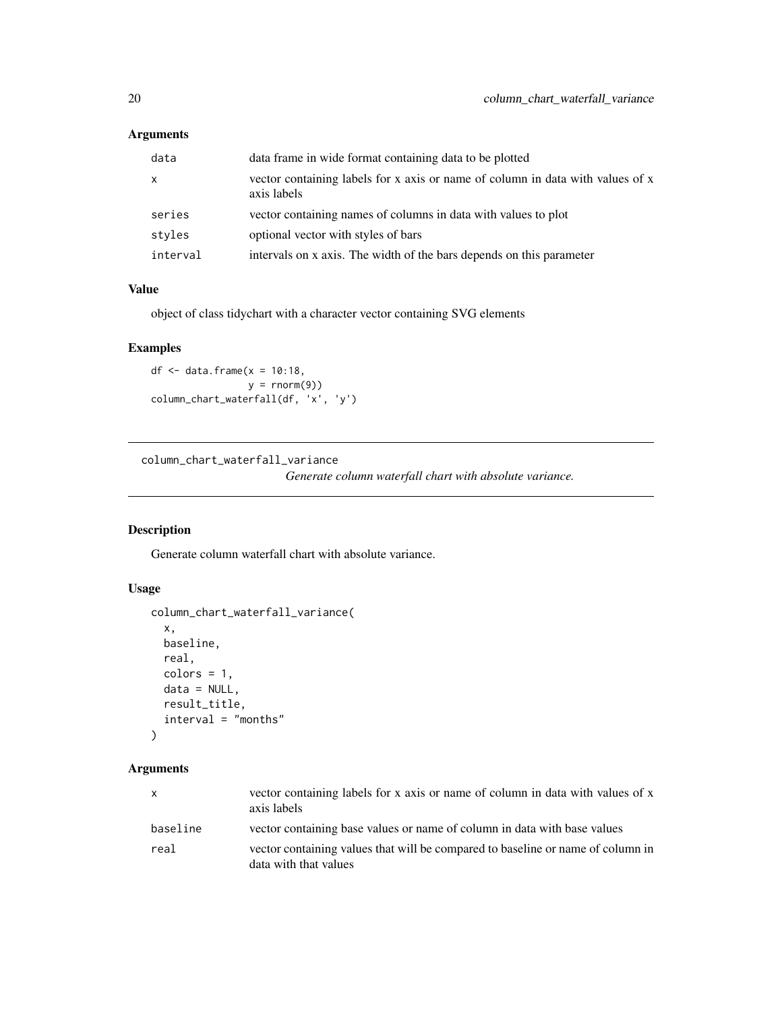<span id="page-19-0"></span>

| data     | data frame in wide format containing data to be plotted                                       |
|----------|-----------------------------------------------------------------------------------------------|
| X        | vector containing labels for x axis or name of column in data with values of x<br>axis labels |
| series   | vector containing names of columns in data with values to plot                                |
| styles   | optional vector with styles of bars                                                           |
| interval | intervals on x axis. The width of the bars depends on this parameter                          |

## Value

object of class tidychart with a character vector containing SVG elements

## Examples

df  $\leq$  data.frame( $x = 10:18$ ,  $y = rnorm(9)$ column\_chart\_waterfall(df, 'x', 'y')

column\_chart\_waterfall\_variance

*Generate column waterfall chart with absolute variance.*

## Description

Generate column waterfall chart with absolute variance.

## Usage

```
column_chart_waterfall_variance(
 x,
 baseline,
 real,
 colors = 1,data = NULL,
 result_title,
  interval = "months"
)
```

| $\mathbf{x}$ | vector containing labels for x axis or name of column in data with values of x<br>axis labels            |
|--------------|----------------------------------------------------------------------------------------------------------|
| baseline     | vector containing base values or name of column in data with base values                                 |
| real         | vector containing values that will be compared to baseline or name of column in<br>data with that values |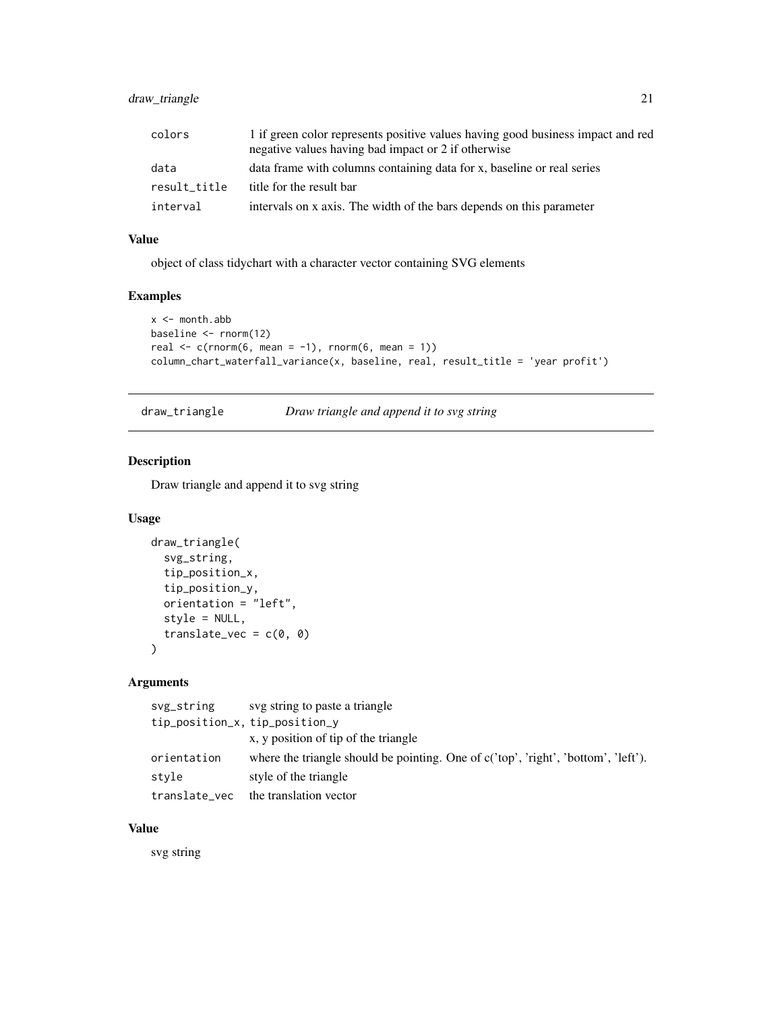## <span id="page-20-0"></span>draw\_triangle 21

| colors       | 1 if green color represents positive values having good business impact and red<br>negative values having bad impact or 2 if otherwise |
|--------------|----------------------------------------------------------------------------------------------------------------------------------------|
| data         | data frame with columns containing data for x, baseline or real series                                                                 |
| result title | title for the result bar                                                                                                               |
| interval     | intervals on x axis. The width of the bars depends on this parameter                                                                   |

## Value

object of class tidychart with a character vector containing SVG elements

## Examples

```
x < - month.abb
baseline <- rnorm(12)
real \leq c(rnorm(6, mean = -1), rnorm(6, mean = 1))
column_chart_waterfall_variance(x, baseline, real, result_title = 'year profit')
```
draw\_triangle *Draw triangle and append it to svg string*

#### Description

Draw triangle and append it to svg string

#### Usage

```
draw_triangle(
  svg_string,
  tip_position_x,
  tip_position_y,
  orientation = "left",
  style = NULL,
  translate_vec = c(\emptyset, \emptyset))
```
## Arguments

| svg_string                     | svg string to paste a triangle                                                       |
|--------------------------------|--------------------------------------------------------------------------------------|
| tip_position_x, tip_position_y |                                                                                      |
|                                | x, y position of tip of the triangle                                                 |
| orientation                    | where the triangle should be pointing. One of $c('top', 'right', 'bottom', 'left').$ |
| style                          | style of the triangle                                                                |
| translate_vec                  | the translation vector                                                               |

## Value

svg string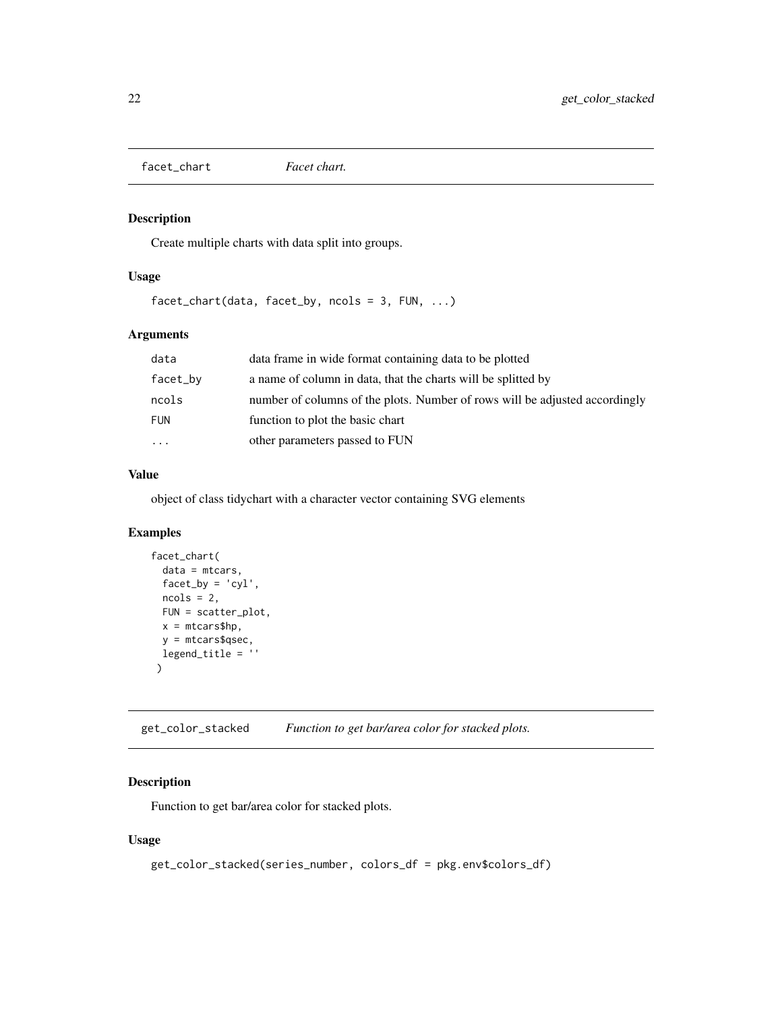<span id="page-21-0"></span>facet\_chart *Facet chart.*

## Description

Create multiple charts with data split into groups.

#### Usage

facet\_chart(data, facet\_by, ncols = 3, FUN, ...)

## Arguments

| data       | data frame in wide format containing data to be plotted                     |
|------------|-----------------------------------------------------------------------------|
| facet_by   | a name of column in data, that the charts will be splitted by               |
| ncols      | number of columns of the plots. Number of rows will be adjusted accordingly |
| <b>FUN</b> | function to plot the basic chart                                            |
| $\ddots$   | other parameters passed to FUN                                              |

#### Value

object of class tidychart with a character vector containing SVG elements

## Examples

```
facet_chart(
  data = mtcars,
  factor_by = 'cyl',ncols = 2,
  FUN = scatter_plot,
  x = m_{\text{cars}}$hp,
  y = mtcars$qsec,
  legend_title = ''
 )
```
get\_color\_stacked *Function to get bar/area color for stacked plots.*

## Description

Function to get bar/area color for stacked plots.

```
get_color_stacked(series_number, colors_df = pkg.env$colors_df)
```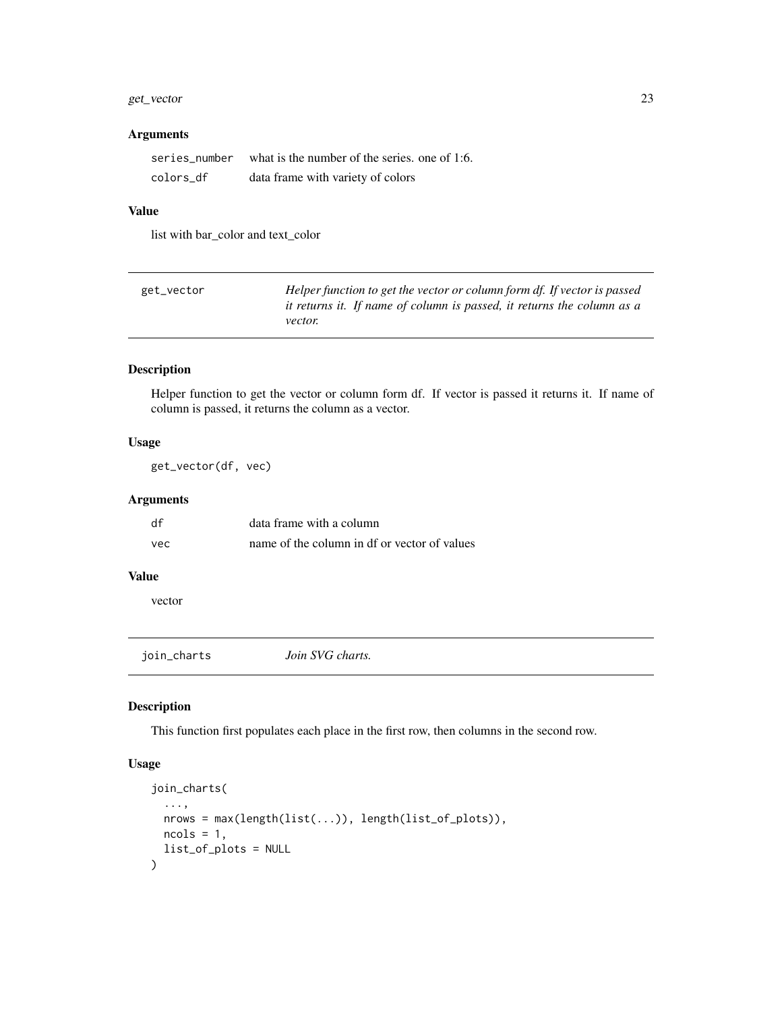## <span id="page-22-0"></span>get\_vector 23

## Arguments

| series number | what is the number of the series, one of 1:6. |
|---------------|-----------------------------------------------|
| colors df     | data frame with variety of colors             |

## Value

list with bar\_color and text\_color

| get_vector | Helper function to get the vector or column form df. If vector is passed |
|------------|--------------------------------------------------------------------------|
|            | it returns it. If name of column is passed, it returns the column as a   |
|            | <i>vector.</i>                                                           |

## Description

Helper function to get the vector or column form df. If vector is passed it returns it. If name of column is passed, it returns the column as a vector.

## Usage

get\_vector(df, vec)

## Arguments

| df  | data frame with a column                     |
|-----|----------------------------------------------|
| vec | name of the column in df or vector of values |

#### Value

vector

join\_charts *Join SVG charts.*

## Description

This function first populates each place in the first row, then columns in the second row.

```
join_charts(
  ...,
 nrows = max(length(list(...)), length(list_of_plots)),
 ncols = 1,
  list_of_plots = NULL
\mathcal{E}
```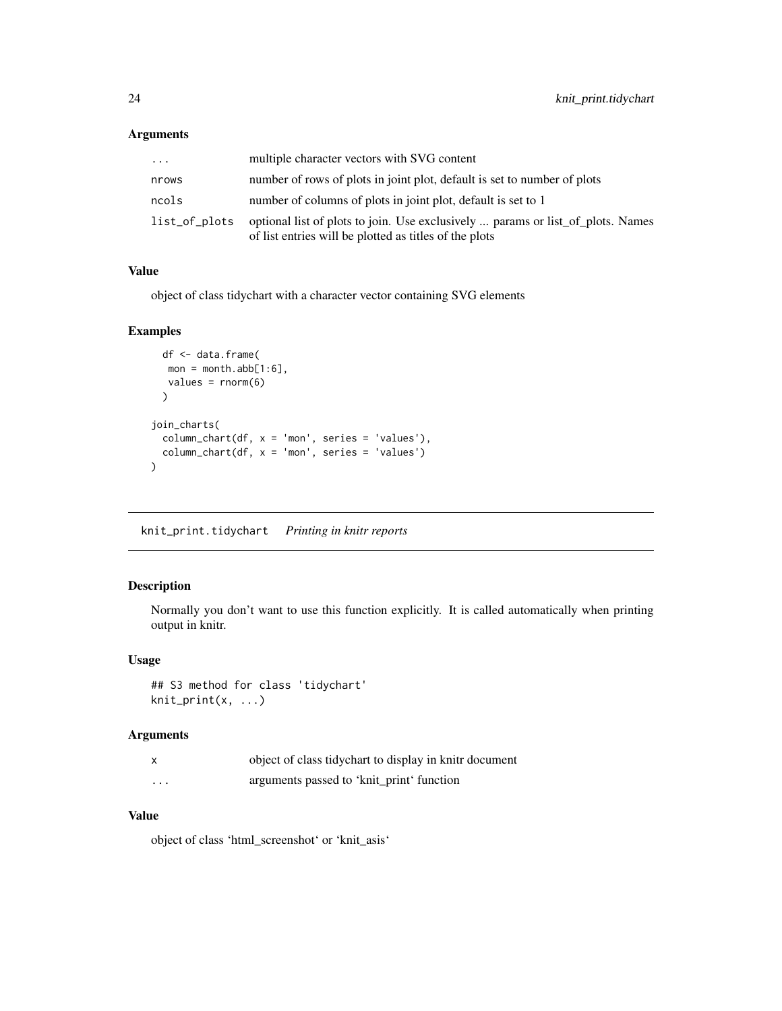<span id="page-23-0"></span>

| .             | multiple character vectors with SVG content                                                                                               |
|---------------|-------------------------------------------------------------------------------------------------------------------------------------------|
| nrows         | number of rows of plots in joint plot, default is set to number of plots                                                                  |
| ncols         | number of columns of plots in joint plot, default is set to 1                                                                             |
| list_of_plots | optional list of plots to join. Use exclusively  params or list_of_plots. Names<br>of list entries will be plotted as titles of the plots |

## Value

object of class tidychart with a character vector containing SVG elements

#### Examples

```
df <- data.frame(
  mon = month.abb[1:6],values = rnorm(6)
 )
join_charts(
  column_{chart(df, x = 'mon', series = 'values'),column_chart(df, x = 'mon', series = 'values')
)
```
knit\_print.tidychart *Printing in knitr reports*

## Description

Normally you don't want to use this function explicitly. It is called automatically when printing output in knitr.

## Usage

```
## S3 method for class 'tidychart'
knit_print(x, ...)
```
#### Arguments

| x | object of class tidychart to display in knitr document |
|---|--------------------------------------------------------|
| . | arguments passed to 'knit_print' function              |

## Value

object of class 'html\_screenshot' or 'knit\_asis'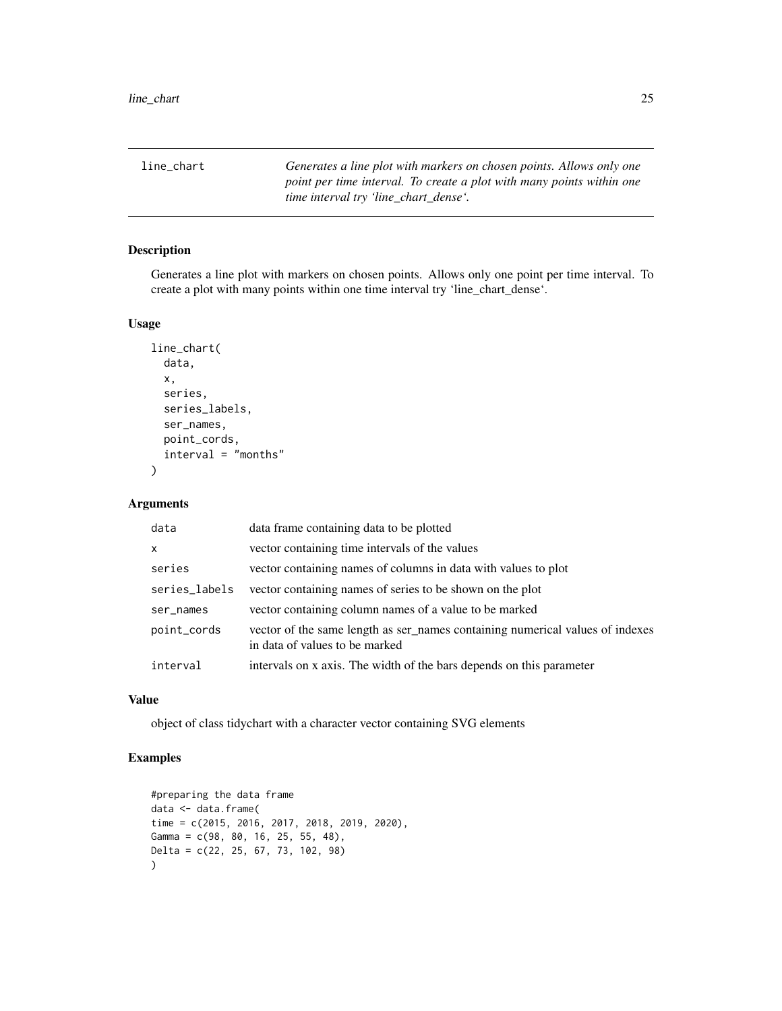<span id="page-24-0"></span>line\_chart *Generates a line plot with markers on chosen points. Allows only one point per time interval. To create a plot with many points within one time interval try 'line\_chart\_dense'.*

## Description

Generates a line plot with markers on chosen points. Allows only one point per time interval. To create a plot with many points within one time interval try 'line\_chart\_dense'.

#### Usage

```
line_chart(
  data,
  x,
  series,
  series_labels,
  ser_names,
  point_cords,
  interval = "months"
\mathcal{E}
```
#### Arguments

| data          | data frame containing data to be plotted                                                                        |
|---------------|-----------------------------------------------------------------------------------------------------------------|
| X             | vector containing time intervals of the values                                                                  |
| series        | vector containing names of columns in data with values to plot                                                  |
| series_labels | vector containing names of series to be shown on the plot                                                       |
| ser_names     | vector containing column names of a value to be marked                                                          |
| point_cords   | vector of the same length as ser_names containing numerical values of indexes<br>in data of values to be marked |
| interval      | intervals on x axis. The width of the bars depends on this parameter                                            |

## Value

object of class tidychart with a character vector containing SVG elements

```
#preparing the data frame
data <- data.frame(
time = c(2015, 2016, 2017, 2018, 2019, 2020),
Gamma = c(98, 80, 16, 25, 55, 48),
Delta = c(22, 25, 67, 73, 102, 98)
\mathcal{L}
```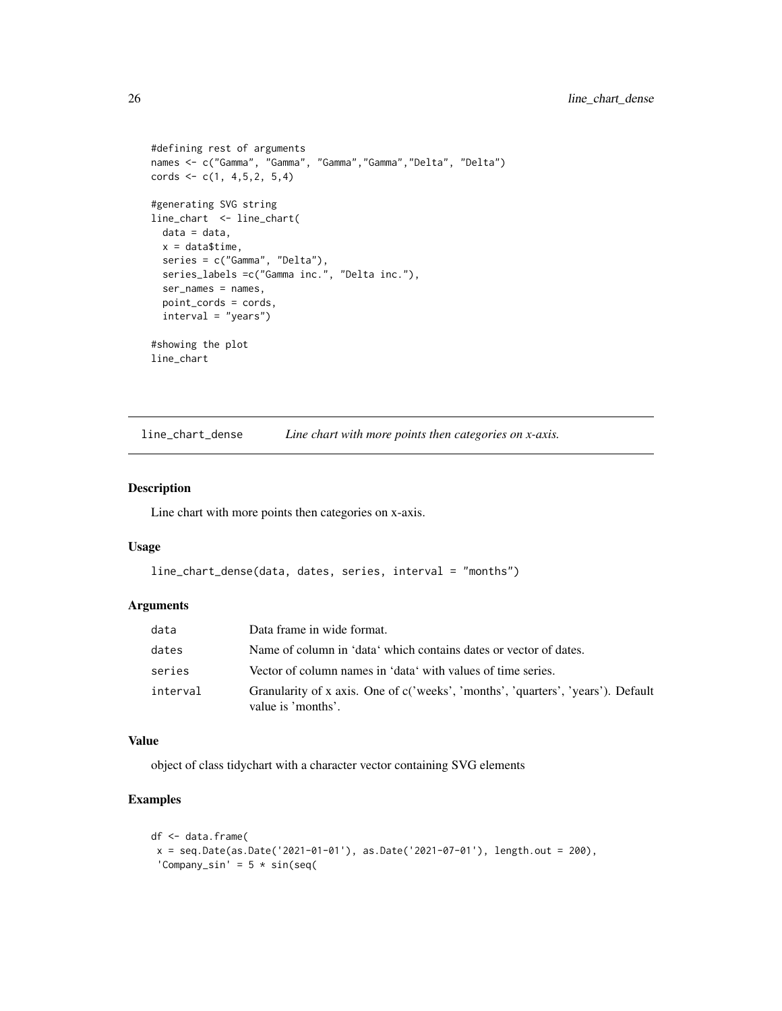```
#defining rest of arguments
names <- c("Gamma", "Gamma", "Gamma","Gamma","Delta", "Delta")
cords \leq c(1, 4, 5, 2, 5, 4)#generating SVG string
line_chart <- line_chart(
 data = data,
 x = data$time,
  series = c("Gamma", "Delta"),
  series_labels =c("Gamma inc.", "Delta inc."),
  ser_names = names,
  point_cords = cords,
  interval = "years")
#showing the plot
line_chart
```
line\_chart\_dense *Line chart with more points then categories on x-axis.*

#### Description

Line chart with more points then categories on x-axis.

#### Usage

```
line_chart_dense(data, dates, series, interval = "months")
```
#### Arguments

| data     | Data frame in wide format.                                                                             |
|----------|--------------------------------------------------------------------------------------------------------|
| dates    | Name of column in 'data' which contains dates or vector of dates.                                      |
| series   | Vector of column names in 'data' with values of time series.                                           |
| interval | Granularity of x axis. One of c('weeks', 'months', 'quarters', 'years'). Default<br>value is 'months'. |

#### Value

object of class tidychart with a character vector containing SVG elements

```
df <- data.frame(
x = seq.DataFrame(as.DataFrame('2021-01-01'), as.DataFrame('2021-07-01'), length.out = 200),'Company_sin' = 5 * sin(seq(
```
<span id="page-25-0"></span>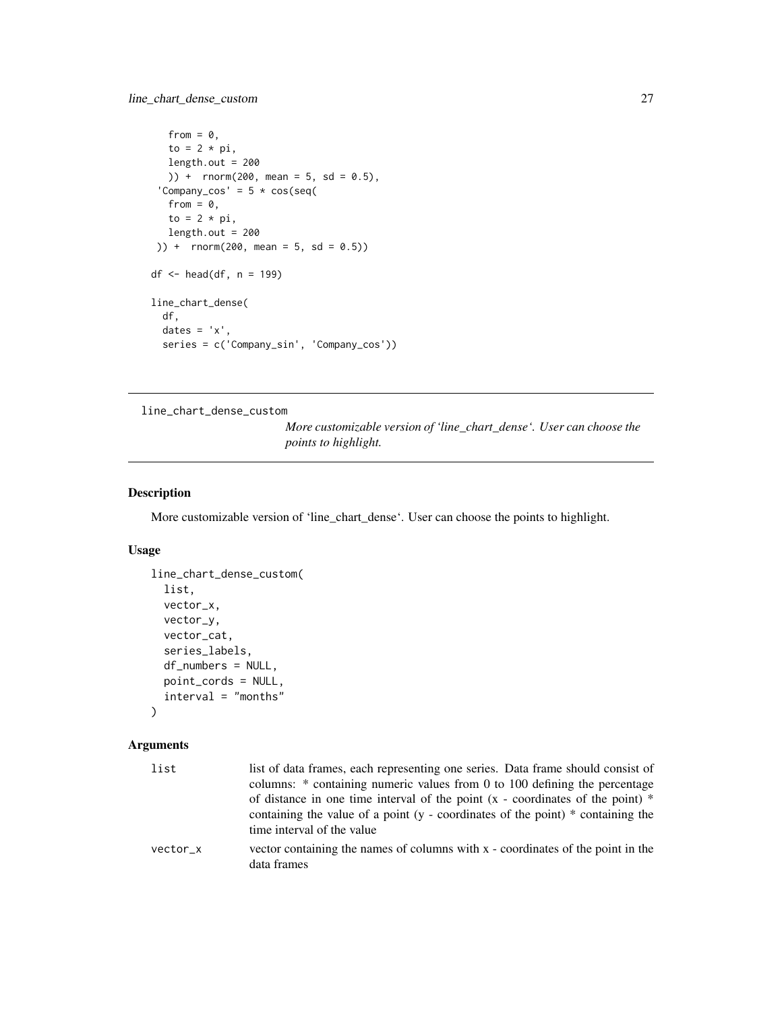```
from = \theta,
   to = 2 * pi,
  length.out = 200
  )) + rnorm(200, mean = 5, sd = 0.5),
 'Company_cos' = 5 * cos(seq(from = 0,
  to = 2 * pi,
  length.out = 200)) + rnorm(200, mean = 5, sd = 0.5)df <- head(df, n = 199)
line_chart_dense(
  df,
  dates = 'x',
  series = c('Company_sin', 'Company_cos'))
```
line\_chart\_dense\_custom

*More customizable version of 'line\_chart\_dense'. User can choose the points to highlight.*

## Description

More customizable version of 'line\_chart\_dense'. User can choose the points to highlight.

## Usage

```
line_chart_dense_custom(
  list,
  vector_x,
  vector_y,
 vector_cat,
  series_labels,
  df_numbers = NULL,
 point_cords = NULL,
  interval = "months"
```
 $\lambda$ 

| list     | list of data frames, each representing one series. Data frame should consist of<br>columns: * containing numeric values from 0 to 100 defining the percentage                                                          |
|----------|------------------------------------------------------------------------------------------------------------------------------------------------------------------------------------------------------------------------|
|          | of distance in one time interval of the point $(x - coordinates)$ cordinates of the point $(*)$<br>containing the value of a point $(y - coordinates)$ of the point $(*)$ containing the<br>time interval of the value |
| vector x | vector containing the names of columns with x - coordinates of the point in the<br>data frames                                                                                                                         |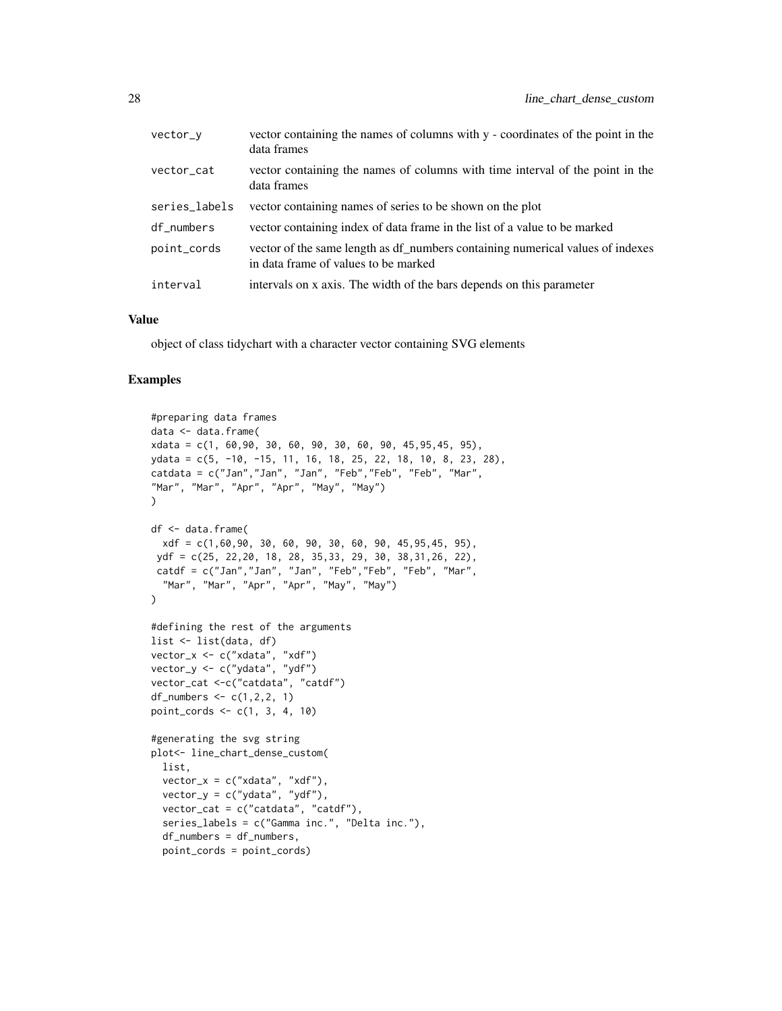| vector_v      | vector containing the names of columns with y - coordinates of the point in the<br>data frames                         |
|---------------|------------------------------------------------------------------------------------------------------------------------|
| vector_cat    | vector containing the names of columns with time interval of the point in the<br>data frames                           |
| series_labels | vector containing names of series to be shown on the plot                                                              |
| df_numbers    | vector containing index of data frame in the list of a value to be marked                                              |
| point_cords   | vector of the same length as df numbers containing numerical values of indexes<br>in data frame of values to be marked |
| interval      | intervals on x axis. The width of the bars depends on this parameter                                                   |

object of class tidychart with a character vector containing SVG elements

```
#preparing data frames
data <- data.frame(
xdata = c(1, 60,90, 30, 60, 90, 30, 60, 90, 45,95,45, 95),
ydata = c(5, -10, -15, 11, 16, 18, 25, 22, 18, 10, 8, 23, 28),
catdata = c("Jan","Jan", "Jan", "Feb","Feb", "Feb", "Mar",
"Mar", "Mar", "Apr", "Apr", "May", "May")
\lambdadf <- data.frame(
 xdf = c(1,60,90, 30, 60, 90, 30, 60, 90, 45,95,45, 95),
ydf = c(25, 22,20, 18, 28, 35,33, 29, 30, 38,31,26, 22),
catdf = c("Jan","Jan", "Jan", "Feb","Feb", "Feb", "Mar",
  "Mar", "Mar", "Apr", "Apr", "May", "May")
\lambda#defining the rest of the arguments
list <- list(data, df)
vector_x <- c("xdata", "xdf")
vector_y <- c("ydata", "ydf")
vector_cat <-c("catdata", "catdf")
df_numbers \leq c(1, 2, 2, 1)point_cords <- c(1, 3, 4, 10)
#generating the svg string
plot<- line_chart_dense_custom(
 list,
  vector_x = c("xdata", "xdf"),
  vector_y = c("ydata", "ydf"),
  vector_cat = c("catdata", "catdf"),
  series_labels = c("Gamma inc.", "Delta inc."),
  df_numbers = df_numbers,
  point_cords = point_cords)
```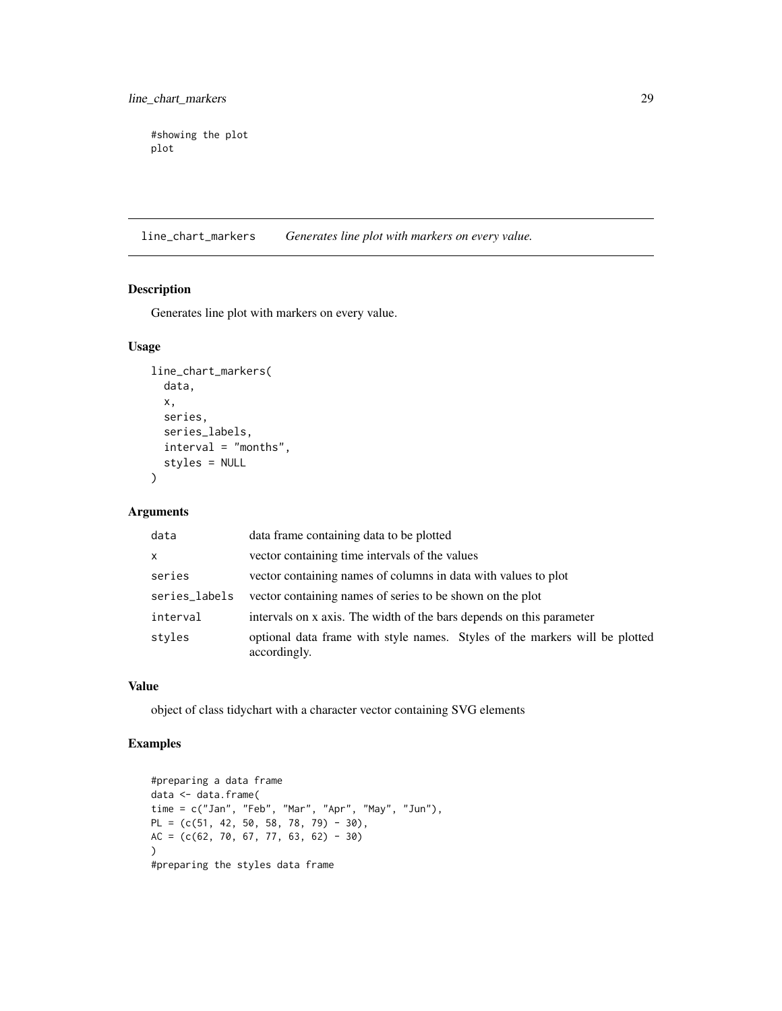<span id="page-28-0"></span>#showing the plot plot

line\_chart\_markers *Generates line plot with markers on every value.*

#### Description

Generates line plot with markers on every value.

#### Usage

```
line_chart_markers(
  data,
  x,
  series,
  series_labels,
  interval = "months",
  styles = NULL
\mathcal{L}
```
## Arguments

| data          | data frame containing data to be plotted                                                    |  |
|---------------|---------------------------------------------------------------------------------------------|--|
| $\mathsf{x}$  | vector containing time intervals of the values                                              |  |
| series        | vector containing names of columns in data with values to plot                              |  |
| series_labels | vector containing names of series to be shown on the plot                                   |  |
| interval      | intervals on x axis. The width of the bars depends on this parameter                        |  |
| styles        | optional data frame with style names. Styles of the markers will be plotted<br>accordingly. |  |

## Value

object of class tidychart with a character vector containing SVG elements

```
#preparing a data frame
data <- data.frame(
time = c("Jan", "Feb", "Mar", "Apr", "May", "Jun"),
PL = (c(51, 42, 50, 58, 78, 79) - 30),
AC = (c(62, 70, 67, 77, 63, 62) - 30)\lambda#preparing the styles data frame
```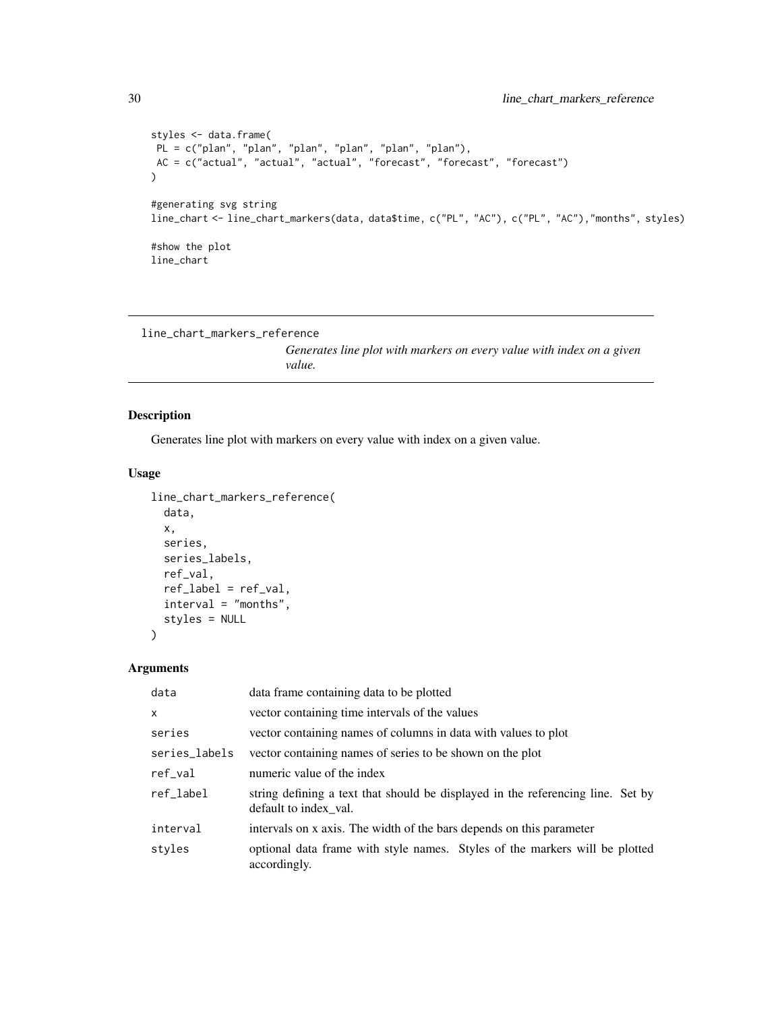```
styles <- data.frame(
PL = c("plan", "plan", "plan", "plan", "plan", "plan"),
AC = c("actual", "actual", "actual", "forecast", "forecast", "forecast")
\lambda#generating svg string
line_chart <- line_chart_markers(data, data$time, c("PL", "AC"), c("PL", "AC"),"months", styles)
#show the plot
line_chart
```

```
line_chart_markers_reference
```
*Generates line plot with markers on every value with index on a given value.*

#### Description

Generates line plot with markers on every value with index on a given value.

#### Usage

```
line_chart_markers_reference(
 data,
  x,
  series,
  series_labels,
  ref_val,
  ref_label = ref_val,
  interval = "months",
  styles = NULL
)
```

| data          | data frame containing data to be plotted                                                                 |
|---------------|----------------------------------------------------------------------------------------------------------|
| $\mathsf{x}$  | vector containing time intervals of the values                                                           |
| series        | vector containing names of columns in data with values to plot                                           |
| series_labels | vector containing names of series to be shown on the plot                                                |
| $ref\_val$    | numeric value of the index                                                                               |
| ref_label     | string defining a text that should be displayed in the referencing line. Set by<br>default to index val. |
| interval      | intervals on x axis. The width of the bars depends on this parameter                                     |
| styles        | optional data frame with style names. Styles of the markers will be plotted<br>accordingly.              |

<span id="page-29-0"></span>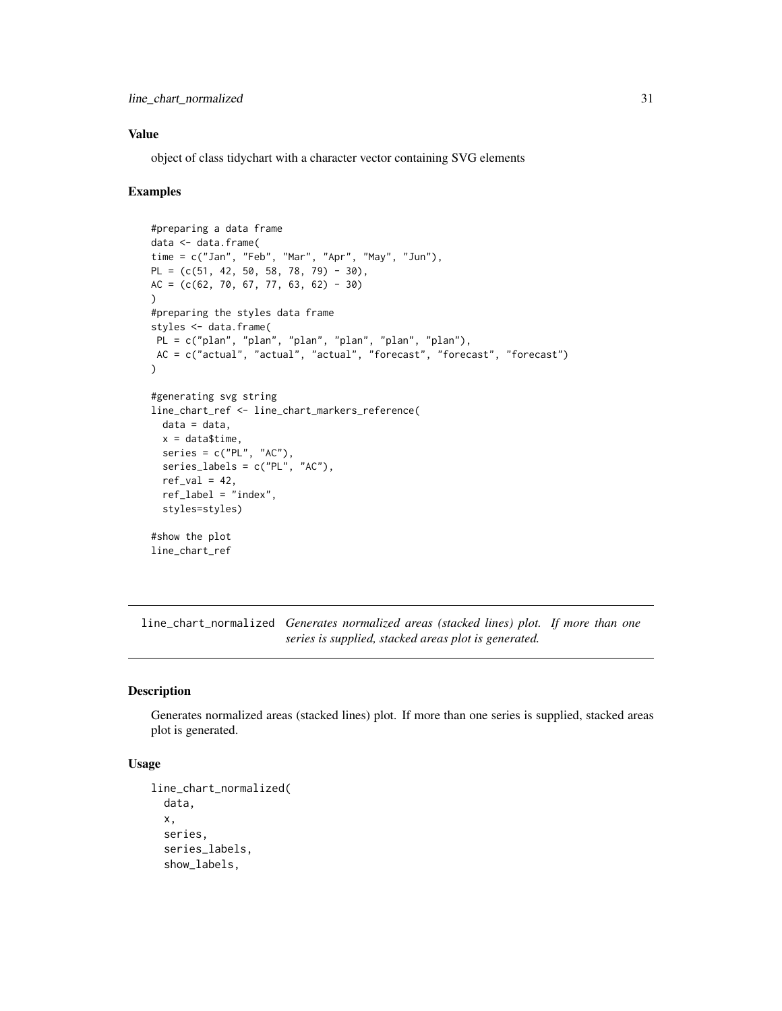<span id="page-30-0"></span>object of class tidychart with a character vector containing SVG elements

#### Examples

```
#preparing a data frame
data <- data.frame(
time = c("Jan", "Feb", "Mar", "Apr", "May", "Jun"),
PL = (c(51, 42, 50, 58, 78, 79) - 30),
AC = (c(62, 70, 67, 77, 63, 62) - 30))
#preparing the styles data frame
styles <- data.frame(
PL = c("plan", "plan", "plan", "plan", "plan", "plan"),
AC = c("actual", "actual", "actual", "forecast", "forecast", "forecast")
\lambda#generating svg string
line_chart_ref <- line_chart_markers_reference(
  data = data,
  x = data$time,
  series = c("PL", "AC"),
  series_labels = c("PL", "AC"),
  ref_val = 42,ref\_label = "index".styles=styles)
#show the plot
line_chart_ref
```
line\_chart\_normalized *Generates normalized areas (stacked lines) plot. If more than one series is supplied, stacked areas plot is generated.*

#### Description

Generates normalized areas (stacked lines) plot. If more than one series is supplied, stacked areas plot is generated.

```
line_chart_normalized(
  data,
  x,
  series,
  series_labels,
  show_labels,
```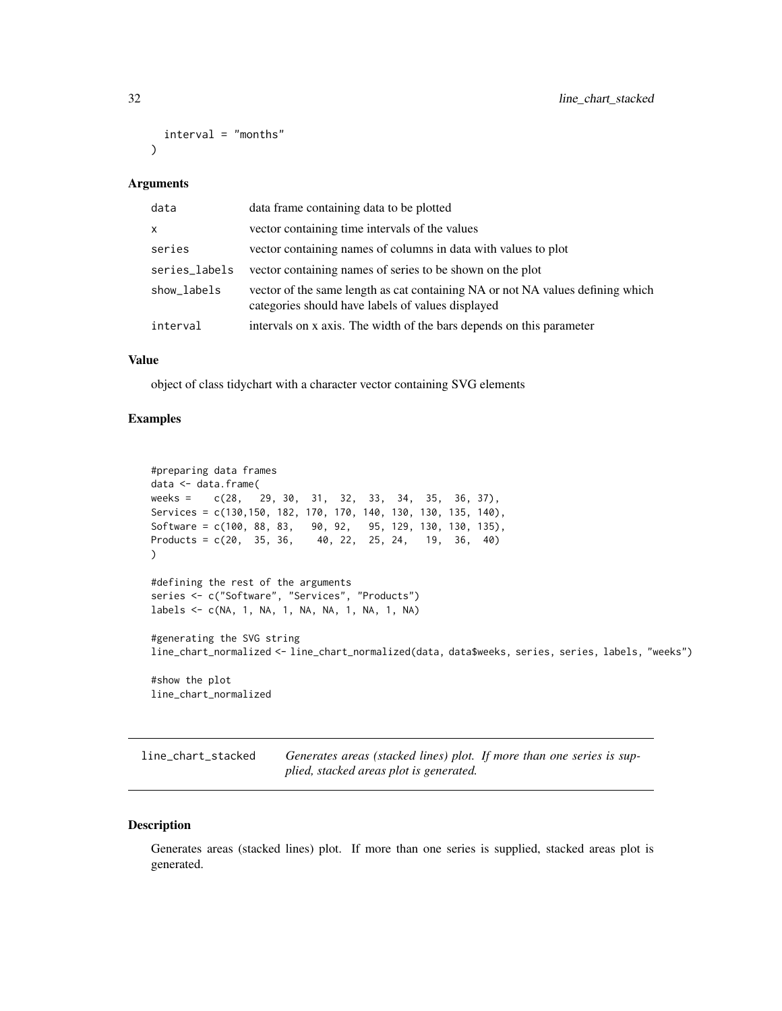```
interval = "months")
```

| data          | data frame containing data to be plotted                                                                                            |
|---------------|-------------------------------------------------------------------------------------------------------------------------------------|
| $\mathsf{x}$  | vector containing time intervals of the values                                                                                      |
| series        | vector containing names of columns in data with values to plot                                                                      |
| series_labels | vector containing names of series to be shown on the plot                                                                           |
| show_labels   | vector of the same length as cat containing NA or not NA values defining which<br>categories should have labels of values displayed |
| interval      | intervals on x axis. The width of the bars depends on this parameter                                                                |

#### Value

object of class tidychart with a character vector containing SVG elements

#### Examples

```
#preparing data frames
data <- data.frame(
weeks = c(28, 29, 30, 31, 32, 33, 34, 35, 36, 37),
Services = c(130,150, 182, 170, 170, 140, 130, 130, 135, 140),
Software = c(100, 88, 83, 90, 92, 95, 129, 130, 130, 135),
Products = c(20, 35, 36, 40, 22, 25, 24, 19, 36, 40)
)
#defining the rest of the arguments
series <- c("Software", "Services", "Products")
labels <- c(NA, 1, NA, 1, NA, NA, 1, NA, 1, NA)
#generating the SVG string
line_chart_normalized <- line_chart_normalized(data, data$weeks, series, series, labels, "weeks")
#show the plot
line_chart_normalized
```
line\_chart\_stacked *Generates areas (stacked lines) plot. If more than one series is supplied, stacked areas plot is generated.*

#### Description

Generates areas (stacked lines) plot. If more than one series is supplied, stacked areas plot is generated.

<span id="page-31-0"></span>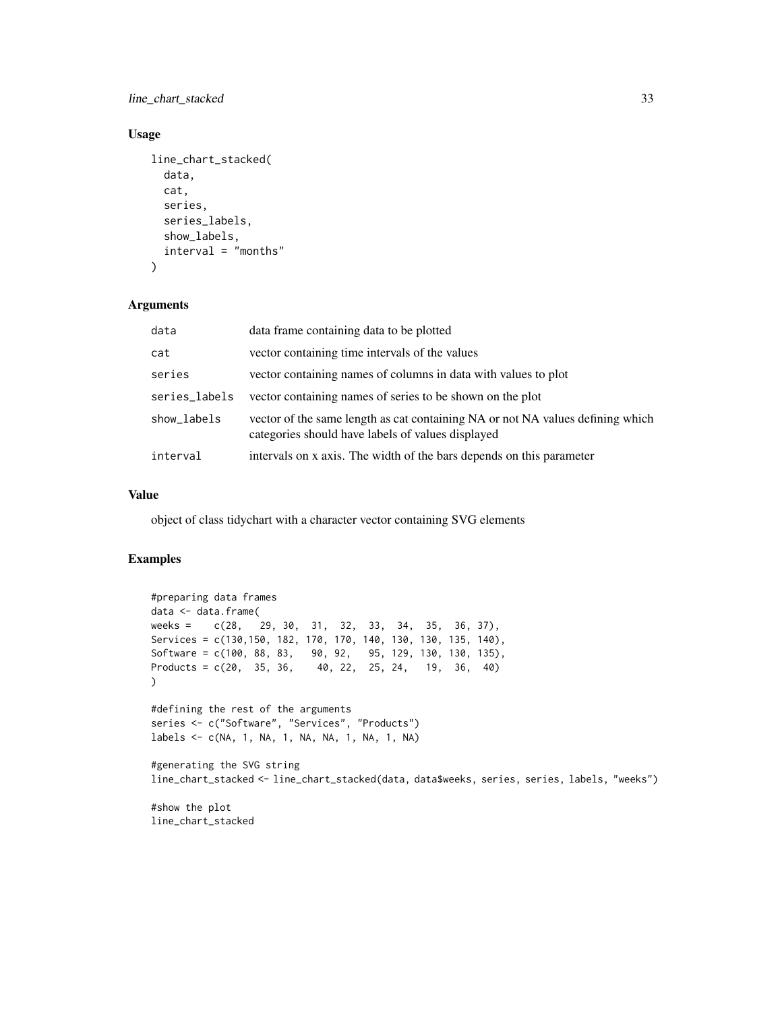line\_chart\_stacked 33

## Usage

```
line_chart_stacked(
  data,
  cat,
  series,
  series_labels,
  show_labels,
  interval = "months"
)
```
## Arguments

| data          | data frame containing data to be plotted                                                                                            |
|---------------|-------------------------------------------------------------------------------------------------------------------------------------|
| cat           | vector containing time intervals of the values                                                                                      |
| series        | vector containing names of columns in data with values to plot                                                                      |
| series_labels | vector containing names of series to be shown on the plot                                                                           |
| show_labels   | vector of the same length as cat containing NA or not NA values defining which<br>categories should have labels of values displayed |
| interval      | intervals on x axis. The width of the bars depends on this parameter                                                                |

## Value

object of class tidychart with a character vector containing SVG elements

#### Examples

```
#preparing data frames
data <- data.frame(
weeks = c(28, 29, 30, 31, 32, 33, 34, 35, 36, 37),
Services = c(130,150, 182, 170, 170, 140, 130, 130, 135, 140),
Software = c(100, 88, 83, 90, 92, 95, 129, 130, 130, 135),
Products = c(20, 35, 36, 40, 22, 25, 24, 19, 36, 40)
\mathcal{L}#defining the rest of the arguments
series <- c("Software", "Services", "Products")
labels <- c(NA, 1, NA, 1, NA, NA, 1, NA, 1, NA)
#generating the SVG string
line_chart_stacked <- line_chart_stacked(data, data$weeks, series, series, labels, "weeks")
#show the plot
```
line\_chart\_stacked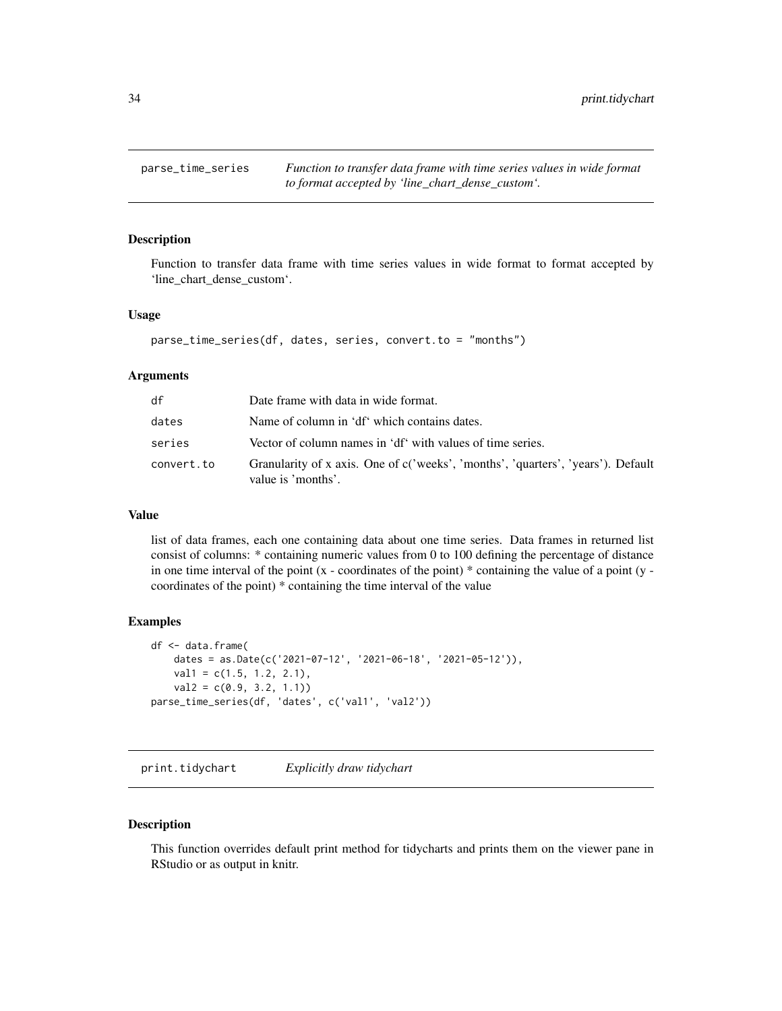<span id="page-33-0"></span>

#### **Description**

Function to transfer data frame with time series values in wide format to format accepted by 'line\_chart\_dense\_custom'.

#### Usage

```
parse_time_series(df, dates, series, convert.to = "months")
```
#### Arguments

| df         | Date frame with data in wide format.                                                                   |
|------------|--------------------------------------------------------------------------------------------------------|
| dates      | Name of column in 'df' which contains dates.                                                           |
| series     | Vector of column names in 'df' with values of time series.                                             |
| convert.to | Granularity of x axis. One of c('weeks', 'months', 'quarters', 'years'). Default<br>value is 'months'. |

#### Value

list of data frames, each one containing data about one time series. Data frames in returned list consist of columns: \* containing numeric values from 0 to 100 defining the percentage of distance in one time interval of the point  $(x - coordinates of the point) * containing the value of a point (y -)$ coordinates of the point) \* containing the time interval of the value

#### Examples

```
df <- data.frame(
    dates = as.Date(c('2021-07-12', '2021-06-18', '2021-05-12')),
   val1 = c(1.5, 1.2, 2.1),val2 = c(0.9, 3.2, 1.1)parse_time_series(df, 'dates', c('val1', 'val2'))
```
print.tidychart *Explicitly draw tidychart*

#### Description

This function overrides default print method for tidycharts and prints them on the viewer pane in RStudio or as output in knitr.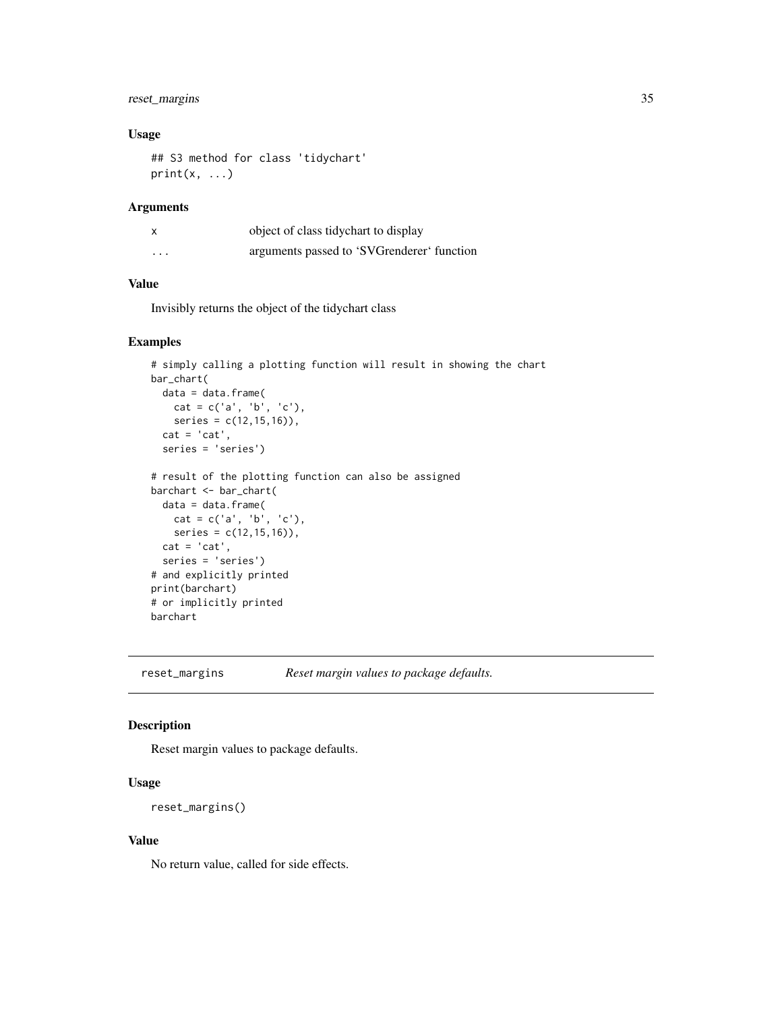## <span id="page-34-0"></span>reset\_margins 35

## Usage

```
## S3 method for class 'tidychart'
print(x, \ldots)
```
## Arguments

|          | object of class tidychart to display       |
|----------|--------------------------------------------|
| $\cdots$ | arguments passed to 'SVGrenderer' function |

## Value

Invisibly returns the object of the tidychart class

#### Examples

```
# simply calling a plotting function will result in showing the chart
bar_chart(
 data = data.frame(
   cat = c('a', 'b', 'c'),series = c(12,15,16)),
  cat = 'cat',series = 'series')
# result of the plotting function can also be assigned
barchart <- bar_chart(
  data = data.frame(
   cat = c('a', 'b', 'c'),series = c(12, 15, 16),
  cat = 'cat',series = 'series')
# and explicitly printed
print(barchart)
# or implicitly printed
barchart
```
reset\_margins *Reset margin values to package defaults.*

## Description

Reset margin values to package defaults.

#### Usage

```
reset_margins()
```
#### Value

No return value, called for side effects.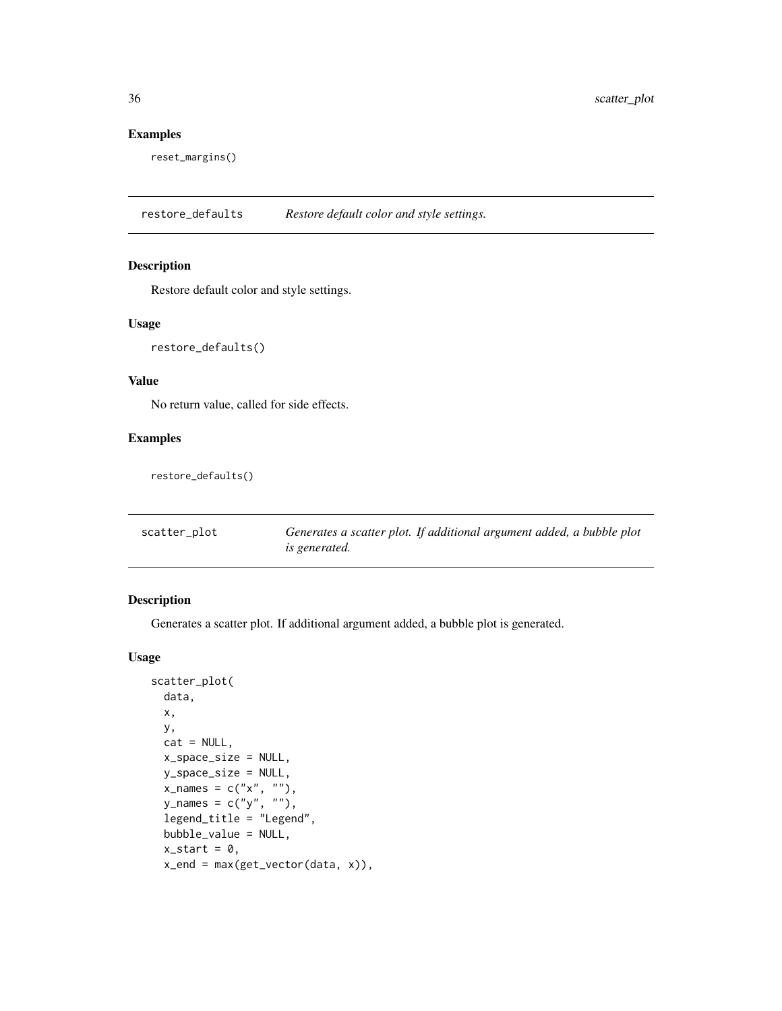## Examples

reset\_margins()

restore\_defaults *Restore default color and style settings.*

#### Description

Restore default color and style settings.

## Usage

restore\_defaults()

#### Value

No return value, called for side effects.

## Examples

restore\_defaults()

| scatter_plot | Generates a scatter plot. If additional argument added, a bubble plot |
|--------------|-----------------------------------------------------------------------|
|              | is generated.                                                         |

## Description

Generates a scatter plot. If additional argument added, a bubble plot is generated.

```
scatter_plot(
 data,
 x,
 y,
 cat = NULL,x_space_size = NULL,
 y_space_size = NULL,
  x\_names = c("x", ""),
  y_names = c("y", ""),
  legend_title = "Legend",
 bubble_value = NULL,
  x_{-}start = 0,
  x<sub>end</sub> = max(get_vector(data, x)),
```
<span id="page-35-0"></span>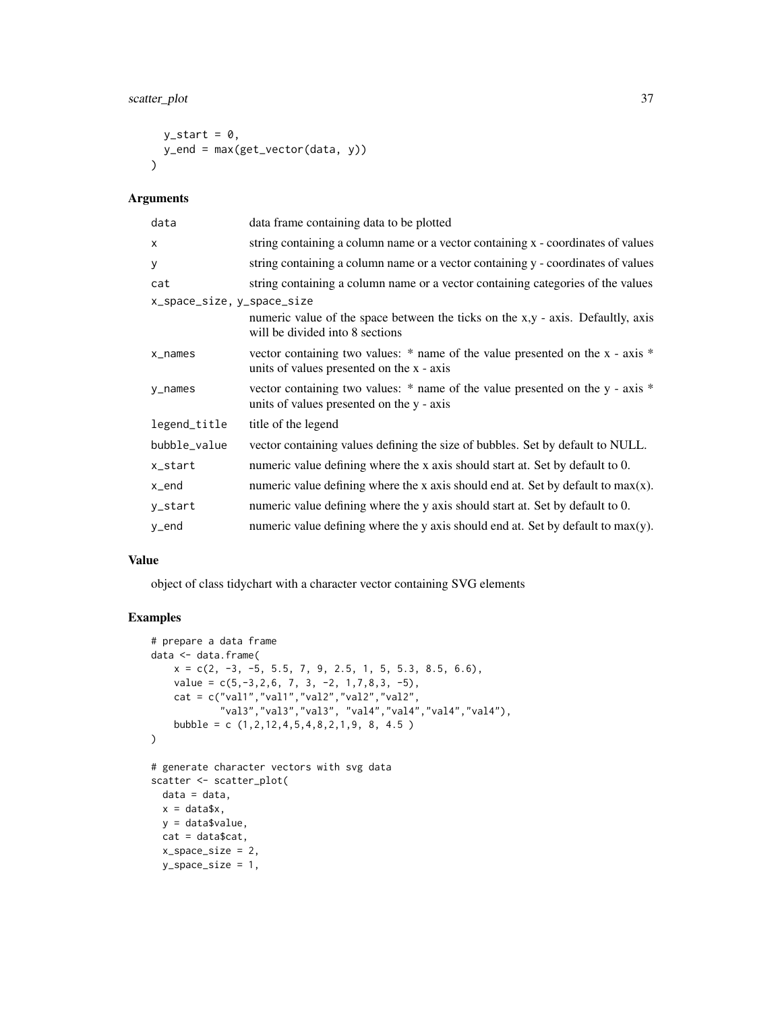## scatter\_plot 37

```
y_start = 0,
 y_end = max(get_vector(data, y))
\lambda
```
## Arguments

| data                       | data frame containing data to be plotted                                                                                       |
|----------------------------|--------------------------------------------------------------------------------------------------------------------------------|
| $\times$                   | string containing a column name or a vector containing x - coordinates of values                                               |
| У                          | string containing a column name or a vector containing y - coordinates of values                                               |
| cat                        | string containing a column name or a vector containing categories of the values                                                |
| x_space_size, y_space_size |                                                                                                                                |
|                            | numeric value of the space between the ticks on the x,y - axis. Defaultly, axis<br>will be divided into 8 sections             |
| x_names                    | vector containing two values: $*$ name of the value presented on the x - axis $*$<br>units of values presented on the x - axis |
| y_names                    | vector containing two values: * name of the value presented on the y - axis *<br>units of values presented on the y - axis     |
| legend_title               | title of the legend                                                                                                            |
| bubble_value               | vector containing values defining the size of bubbles. Set by default to NULL.                                                 |
| x_start                    | numeric value defining where the x axis should start at. Set by default to 0.                                                  |
| x_end                      | numeric value defining where the x axis should end at. Set by default to $max(x)$ .                                            |
| y_start                    | numeric value defining where the y axis should start at. Set by default to 0.                                                  |
| y_end                      | numeric value defining where the y axis should end at. Set by default to $max(y)$ .                                            |

#### Value

object of class tidychart with a character vector containing SVG elements

```
# prepare a data frame
data <- data.frame(
    x = c(2, -3, -5, 5.5, 7, 9, 2.5, 1, 5, 5.3, 8.5, 6.6),value = c(5, -3, 2, 6, 7, 3, -2, 1, 7, 8, 3, -5),
    cat = c("val1","val1","val2","val2","val2",
            "val3","val3","val3", "val4","val4","val4","val4"),
    bubble = c (1,2,12,4,5,4,8,2,1,9, 8, 4.5 )
\mathcal{L}# generate character vectors with svg data
scatter <- scatter_plot(
 data = data,
 x = data$x,
  y = data$value,
 cat = data$cat,
  x_space_size = 2,
  y_space_size = 1,
```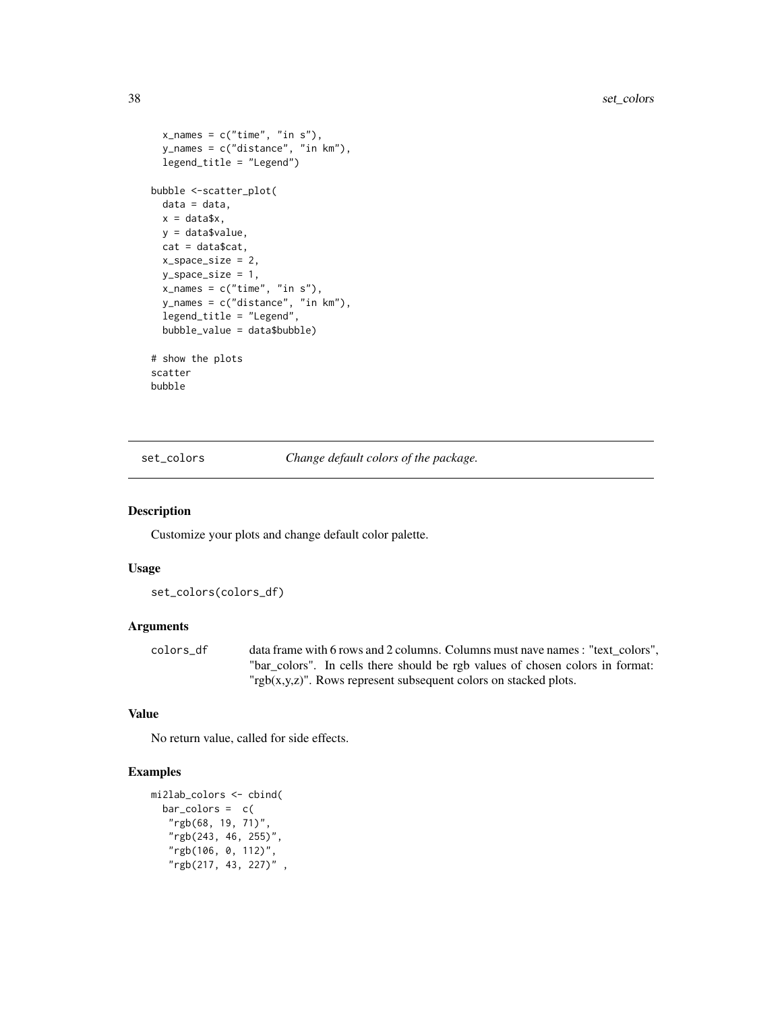```
x_names = c("time", "in s"),y_names = c("distance", "in km"),
  legend_title = "Legend")
bubble <-scatter_plot(
  data = data,
  x = data$x,
  y = data$value,
  cat = data$cat,
  x_space_size = 2,
  y_space_size = 1,
  x\_names = c("time", "in s"),y_names = c("distance", "in km"),
  legend_title = "Legend",
  bubble_value = data$bubble)
# show the plots
scatter
bubble
```
set\_colors *Change default colors of the package.*

#### Description

Customize your plots and change default color palette.

#### Usage

set\_colors(colors\_df)

#### Arguments

colors\_df data frame with 6 rows and 2 columns. Columns must nave names : "text\_colors", "bar\_colors". In cells there should be rgb values of chosen colors in format: "rgb(x,y,z)". Rows represent subsequent colors on stacked plots.

#### Value

No return value, called for side effects.

```
mi2lab_colors <- cbind(
  bar\_colors = c("rgb(68, 19, 71)",
   "rgb(243, 46, 255)",
   "rgb(106, 0, 112)",
   "rgb(217, 43, 227)" ,
```
<span id="page-37-0"></span>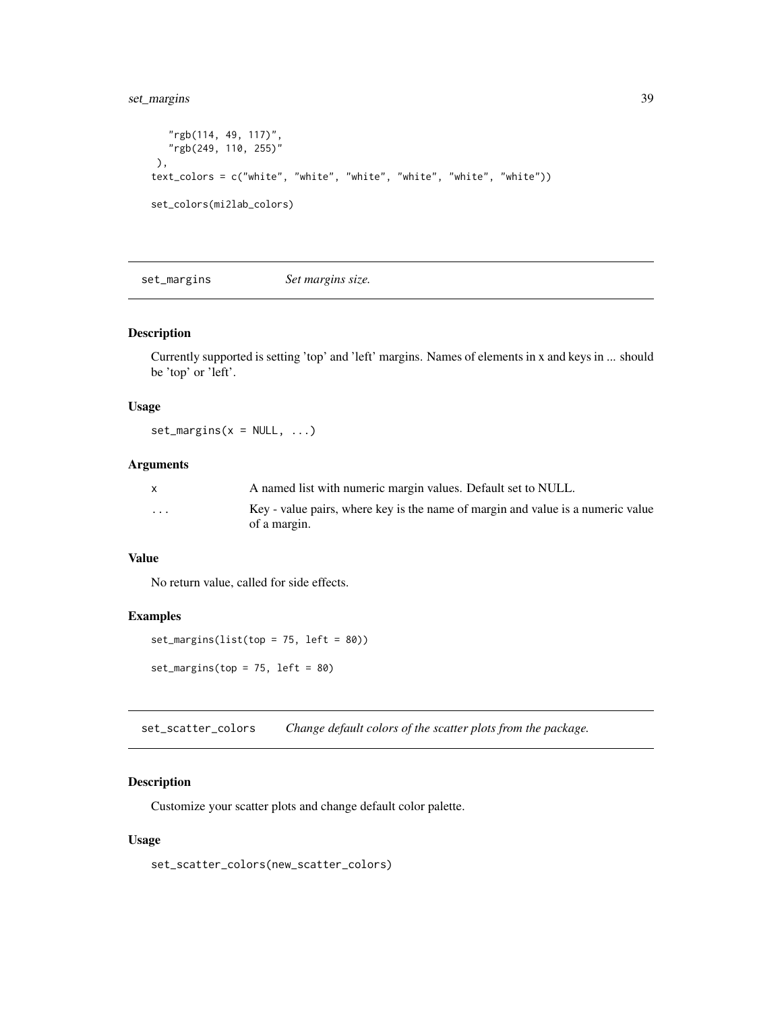<span id="page-38-0"></span>set\_margins 39

```
"rgb(114, 49, 117)",
  "rgb(249, 110, 255)"
),
text_colors = c("white", "white", "white", "white", "white", "white"))
set_colors(mi2lab_colors)
```
set\_margins *Set margins size.*

#### Description

Currently supported is setting 'top' and 'left' margins. Names of elements in x and keys in ... should be 'top' or 'left'.

#### Usage

 $set\_margins(x = NULL, ...)$ 

#### Arguments

|                         | A named list with numeric margin values. Default set to NULL.                                   |
|-------------------------|-------------------------------------------------------------------------------------------------|
| $\cdot$ $\cdot$ $\cdot$ | Key - value pairs, where key is the name of margin and value is a numeric value<br>of a margin. |

#### Value

No return value, called for side effects.

#### Examples

```
set_margins(list(top = 75, left = 80))
set_margins(top = 75, left = 80)
```
set\_scatter\_colors *Change default colors of the scatter plots from the package.*

## Description

Customize your scatter plots and change default color palette.

#### Usage

set\_scatter\_colors(new\_scatter\_colors)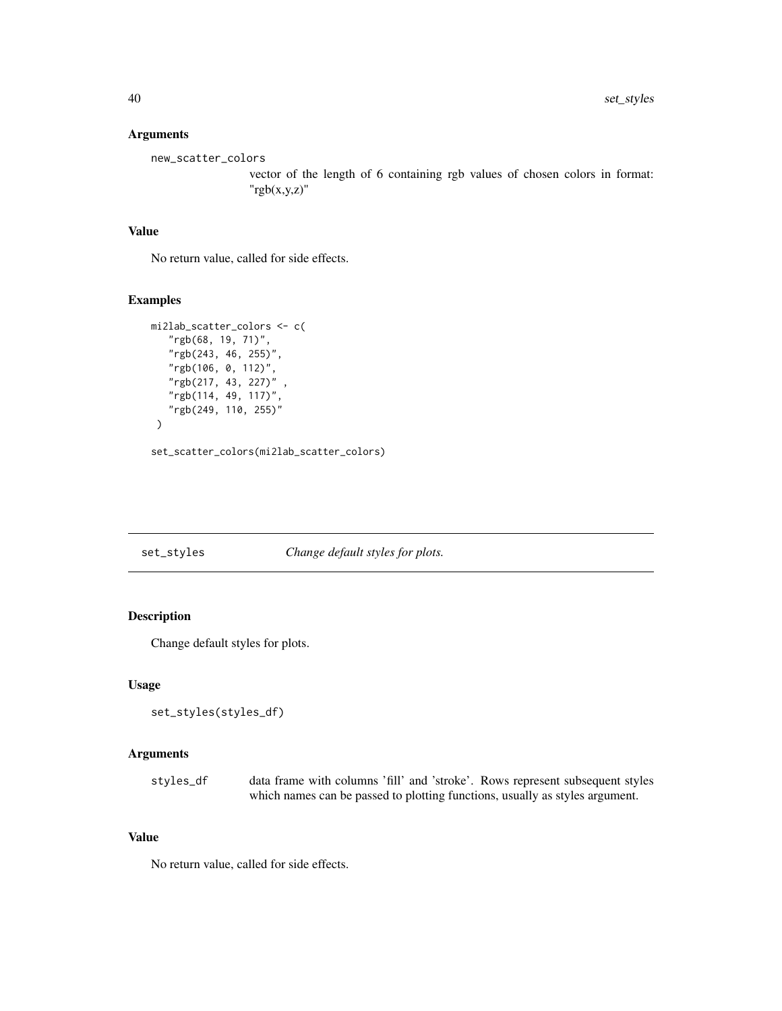<span id="page-39-0"></span>new\_scatter\_colors

vector of the length of 6 containing rgb values of chosen colors in format: "rgb(x,y,z)"

## Value

No return value, called for side effects.

#### Examples

```
mi2lab_scatter_colors <- c(
   "rgb(68, 19, 71)",
   "rgb(243, 46, 255)",
   "rgb(106, 0, 112)",
   "rgb(217, 43, 227)" ,
   "rgb(114, 49, 117)",
   "rgb(249, 110, 255)"
 )
```
set\_scatter\_colors(mi2lab\_scatter\_colors)

#### set\_styles *Change default styles for plots.*

#### Description

Change default styles for plots.

#### Usage

```
set_styles(styles_df)
```
#### Arguments

styles\_df data frame with columns 'fill' and 'stroke'. Rows represent subsequent styles which names can be passed to plotting functions, usually as styles argument.

## Value

No return value, called for side effects.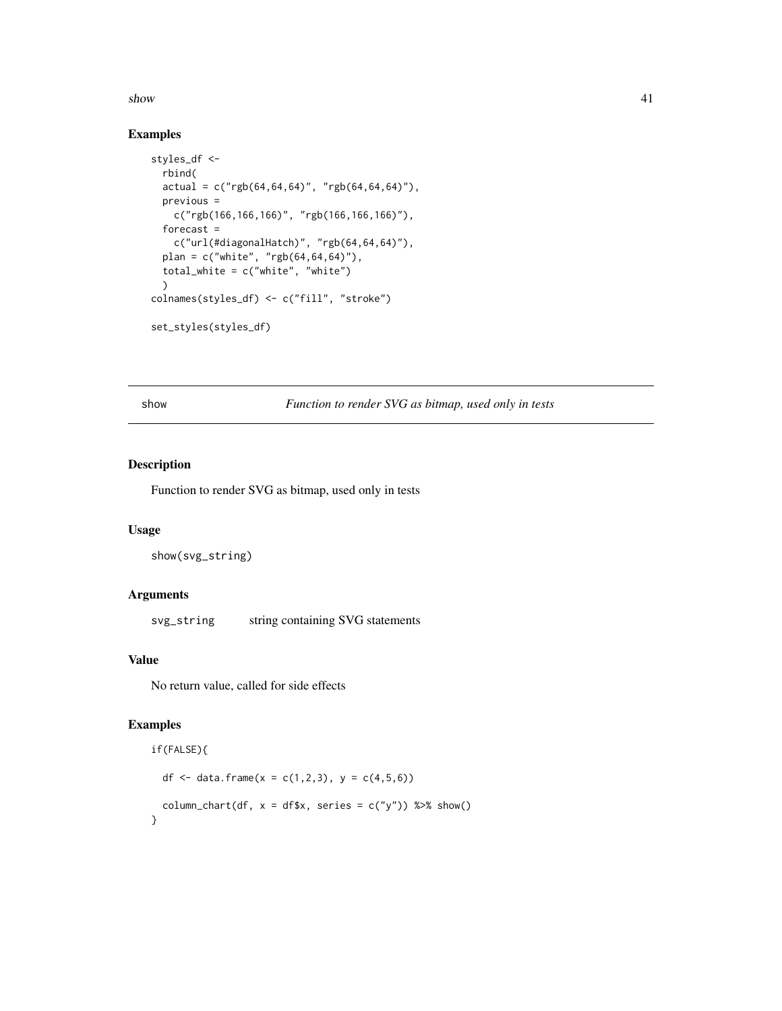#### <span id="page-40-0"></span> $s$ how  $41$

## Examples

```
styles_df <-
  rbind(
  actual = c("rgb(64, 64, 64)", "rgb(64, 64, 64)"),previous =
    c("rgb(166,166,166)", "rgb(166,166,166)"),
  forecast =
    c("url(#diagonalHatch)", "rgb(64,64,64)"),
  plan = c("white", "rgb(64,64,64)"),
  total_white = c("white", "white")
  \lambdacolnames(styles_df) <- c("fill", "stroke")
set_styles(styles_df)
```
show *Function to render SVG as bitmap, used only in tests*

## Description

Function to render SVG as bitmap, used only in tests

#### Usage

show(svg\_string)

#### Arguments

svg\_string string containing SVG statements

## Value

No return value, called for side effects

```
if(FALSE){
  df <- data.frame(x = c(1,2,3), y = c(4,5,6))
  column_chart(df, x = df*x, series = c("y")) %>% show()
}
```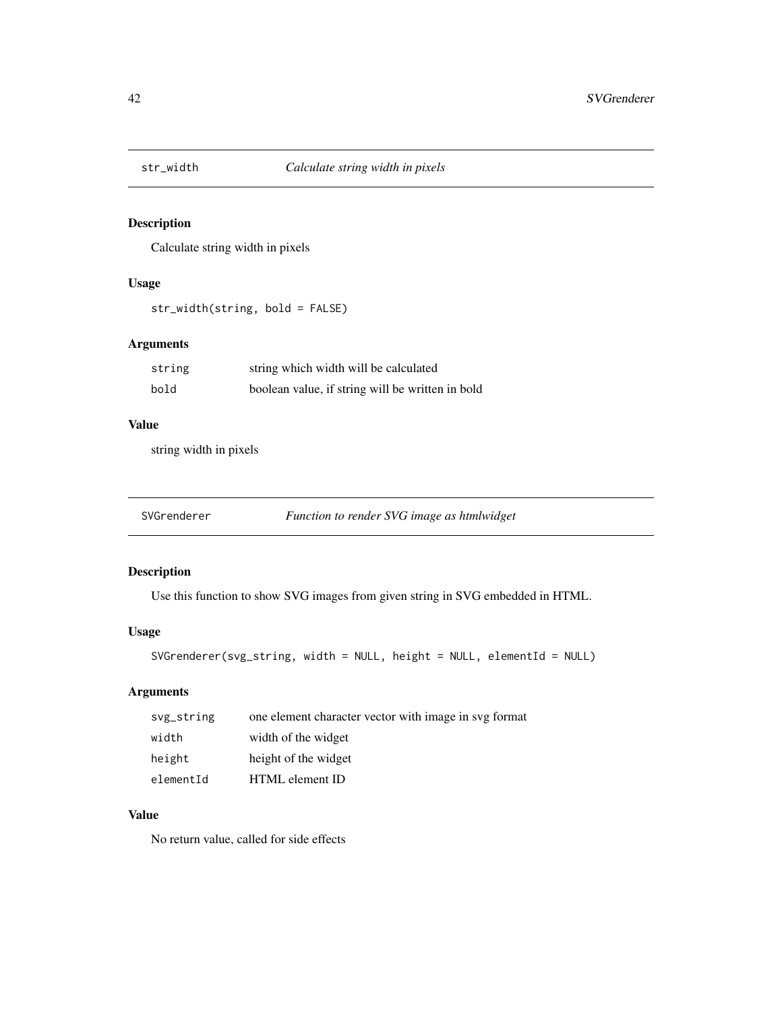<span id="page-41-0"></span>

## Description

Calculate string width in pixels

#### Usage

str\_width(string, bold = FALSE)

## Arguments

| string | string which width will be calculated            |
|--------|--------------------------------------------------|
| bold   | boolean value, if string will be written in bold |

## Value

string width in pixels

## Description

Use this function to show SVG images from given string in SVG embedded in HTML.

## Usage

```
SVGrenderer(svg_string, width = NULL, height = NULL, elementId = NULL)
```
## Arguments

| svg_string | one element character vector with image in svg format |
|------------|-------------------------------------------------------|
| width      | width of the widget                                   |
| height     | height of the widget                                  |
| elementId  | HTML element ID                                       |

## Value

No return value, called for side effects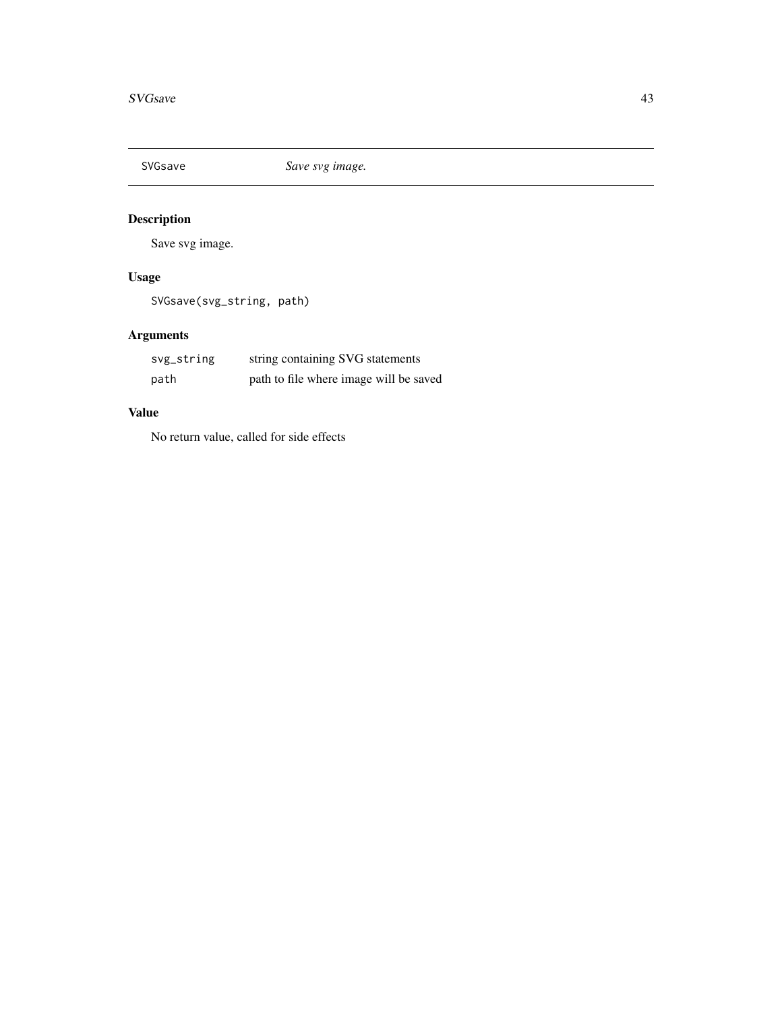<span id="page-42-0"></span>

## Description

Save svg image.

## Usage

SVGsave(svg\_string, path)

## Arguments

| svg_string | string containing SVG statements       |
|------------|----------------------------------------|
| path       | path to file where image will be saved |

## Value

No return value, called for side effects